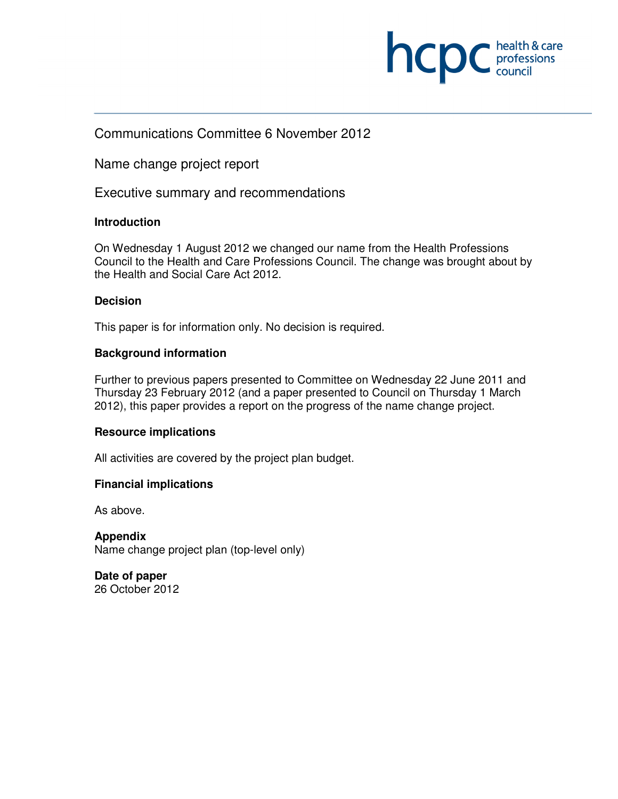

# Communications Committee 6 November 2012

Name change project report

Executive summary and recommendations

## **Introduction**

On Wednesday 1 August 2012 we changed our name from the Health Professions Council to the Health and Care Professions Council. The change was brought about by the Health and Social Care Act 2012.

### **Decision**

This paper is for information only. No decision is required.

## **Background information**

Further to previous papers presented to Committee on Wednesday 22 June 2011 and Thursday 23 February 2012 (and a paper presented to Council on Thursday 1 March 2012), this paper provides a report on the progress of the name change project.

### **Resource implications**

All activities are covered by the project plan budget.

## **Financial implications**

As above.

**Appendix**  Name change project plan (top-level only)

**Date of paper**  26 October 2012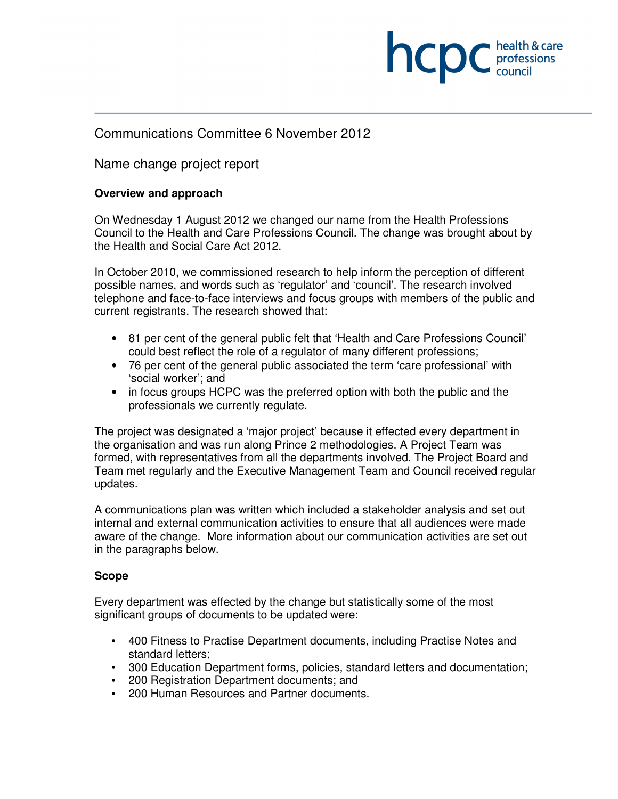

## Communications Committee 6 November 2012

Name change project report

### **Overview and approach**

On Wednesday 1 August 2012 we changed our name from the Health Professions Council to the Health and Care Professions Council. The change was brought about by the Health and Social Care Act 2012.

In October 2010, we commissioned research to help inform the perception of different possible names, and words such as 'regulator' and 'council'. The research involved telephone and face-to-face interviews and focus groups with members of the public and current registrants. The research showed that:

- 81 per cent of the general public felt that 'Health and Care Professions Council' could best reflect the role of a regulator of many different professions;
- 76 per cent of the general public associated the term 'care professional' with 'social worker'; and
- in focus groups HCPC was the preferred option with both the public and the professionals we currently regulate.

The project was designated a 'major project' because it effected every department in the organisation and was run along Prince 2 methodologies. A Project Team was formed, with representatives from all the departments involved. The Project Board and Team met regularly and the Executive Management Team and Council received regular updates.

A communications plan was written which included a stakeholder analysis and set out internal and external communication activities to ensure that all audiences were made aware of the change. More information about our communication activities are set out in the paragraphs below.

#### **Scope**

Every department was effected by the change but statistically some of the most significant groups of documents to be updated were:

- 400 Fitness to Practise Department documents, including Practise Notes and standard letters;
- 300 Education Department forms, policies, standard letters and documentation;
- 200 Registration Department documents; and
- 200 Human Resources and Partner documents.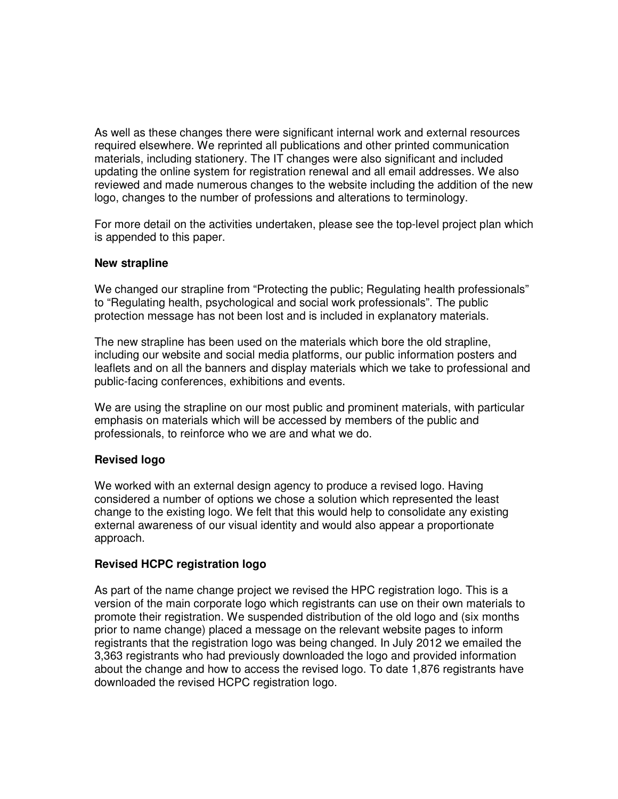As well as these changes there were significant internal work and external resources required elsewhere. We reprinted all publications and other printed communication materials, including stationery. The IT changes were also significant and included updating the online system for registration renewal and all email addresses. We also reviewed and made numerous changes to the website including the addition of the new logo, changes to the number of professions and alterations to terminology.

For more detail on the activities undertaken, please see the top-level project plan which is appended to this paper.

### **New strapline**

We changed our strapline from "Protecting the public; Regulating health professionals" to "Regulating health, psychological and social work professionals". The public protection message has not been lost and is included in explanatory materials.

The new strapline has been used on the materials which bore the old strapline, including our website and social media platforms, our public information posters and leaflets and on all the banners and display materials which we take to professional and public-facing conferences, exhibitions and events.

We are using the strapline on our most public and prominent materials, with particular emphasis on materials which will be accessed by members of the public and professionals, to reinforce who we are and what we do.

### **Revised logo**

We worked with an external design agency to produce a revised logo. Having considered a number of options we chose a solution which represented the least change to the existing logo. We felt that this would help to consolidate any existing external awareness of our visual identity and would also appear a proportionate approach.

### **Revised HCPC registration logo**

As part of the name change project we revised the HPC registration logo. This is a version of the main corporate logo which registrants can use on their own materials to promote their registration. We suspended distribution of the old logo and (six months prior to name change) placed a message on the relevant website pages to inform registrants that the registration logo was being changed. In July 2012 we emailed the 3,363 registrants who had previously downloaded the logo and provided information about the change and how to access the revised logo. To date 1,876 registrants have downloaded the revised HCPC registration logo.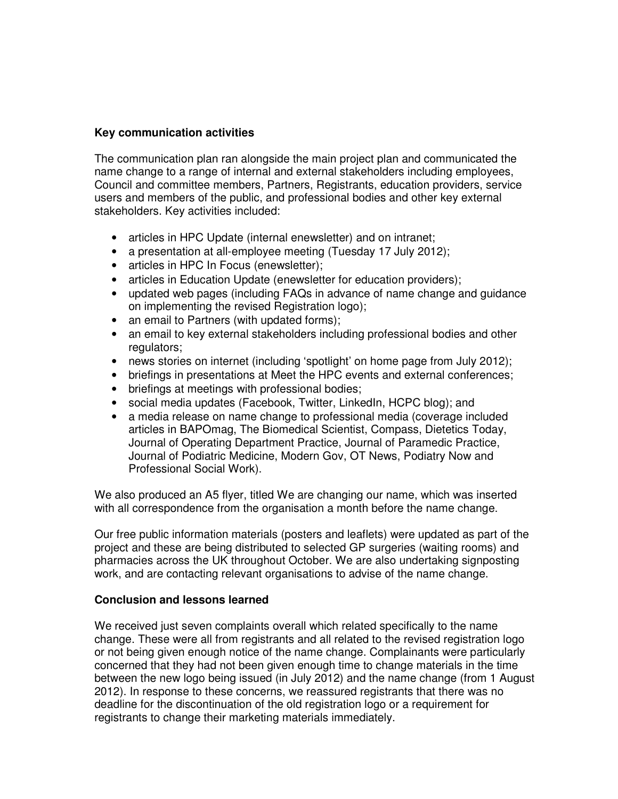### **Key communication activities**

The communication plan ran alongside the main project plan and communicated the name change to a range of internal and external stakeholders including employees, Council and committee members, Partners, Registrants, education providers, service users and members of the public, and professional bodies and other key external stakeholders. Key activities included:

- articles in HPC Update (internal enewsletter) and on intranet;
- a presentation at all-employee meeting (Tuesday 17 July 2012);
- articles in HPC In Focus (enewsletter);
- articles in Education Update (enewsletter for education providers);
- updated web pages (including FAQs in advance of name change and guidance on implementing the revised Registration logo);
- an email to Partners (with updated forms);
- an email to key external stakeholders including professional bodies and other regulators;
- news stories on internet (including 'spotlight' on home page from July 2012);
- briefings in presentations at Meet the HPC events and external conferences;
- briefings at meetings with professional bodies;
- social media updates (Facebook, Twitter, LinkedIn, HCPC blog); and
- a media release on name change to professional media (coverage included articles in BAPOmag, The Biomedical Scientist, Compass, Dietetics Today, Journal of Operating Department Practice, Journal of Paramedic Practice, Journal of Podiatric Medicine, Modern Gov, OT News, Podiatry Now and Professional Social Work).

We also produced an A5 flyer, titled We are changing our name, which was inserted with all correspondence from the organisation a month before the name change.

Our free public information materials (posters and leaflets) were updated as part of the project and these are being distributed to selected GP surgeries (waiting rooms) and pharmacies across the UK throughout October. We are also undertaking signposting work, and are contacting relevant organisations to advise of the name change.

### **Conclusion and lessons learned**

We received just seven complaints overall which related specifically to the name change. These were all from registrants and all related to the revised registration logo or not being given enough notice of the name change. Complainants were particularly concerned that they had not been given enough time to change materials in the time between the new logo being issued (in July 2012) and the name change (from 1 August 2012). In response to these concerns, we reassured registrants that there was no deadline for the discontinuation of the old registration logo or a requirement for registrants to change their marketing materials immediately.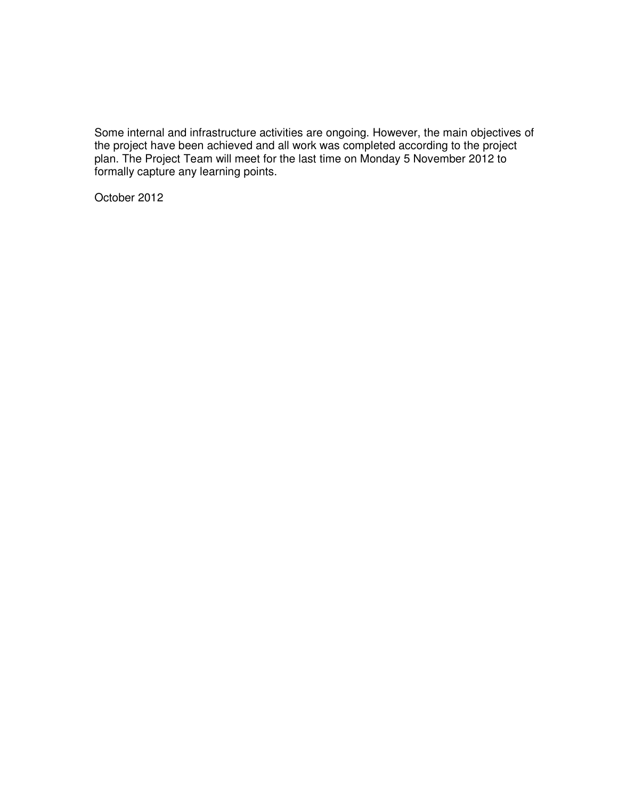Some internal and infrastructure activities are ongoing. However, the main objectives of the project have been achieved and all work was completed according to the project plan. The Project Team will meet for the last time on Monday 5 November 2012 to formally capture any learning points.

October 2012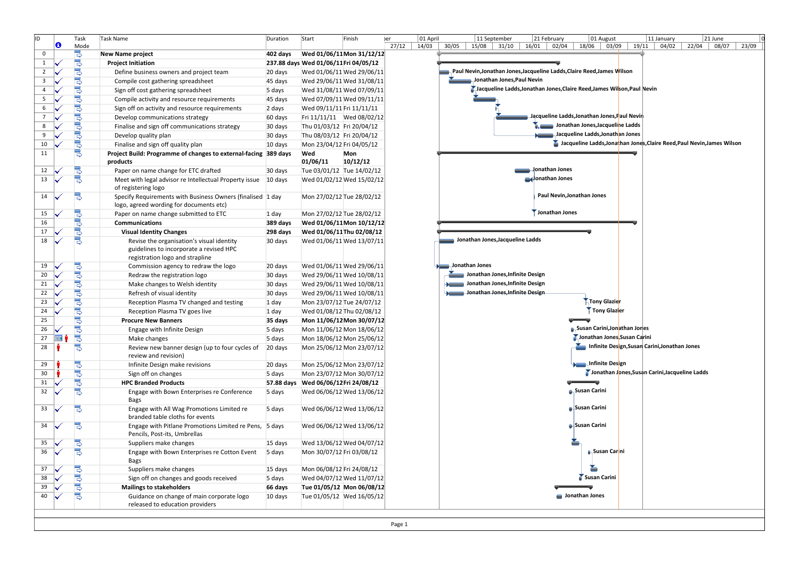| ID.            | O     | Task<br>Mode                | <b>Task Name</b>                                                                                                        | Duration   | Start                                 | Finish                    | er<br>27/12 | 01 April<br>14/03 | 21 June<br>11 September<br>21 February<br>01 August<br>11 January<br>22/04 08/07<br>$15/08$ 31/10<br>16/01<br>$02/04$   18/06   03/09   19/11  <br>04/02<br>30/05<br>23/09 |
|----------------|-------|-----------------------------|-------------------------------------------------------------------------------------------------------------------------|------------|---------------------------------------|---------------------------|-------------|-------------------|----------------------------------------------------------------------------------------------------------------------------------------------------------------------------|
| $\mathbf 0$    |       |                             | <b>New Name project</b>                                                                                                 | 402 days   |                                       | Wed 01/06/11 Mon 31/12/12 |             |                   |                                                                                                                                                                            |
| $\mathbf{1}$   |       | ان ال ال                    | <b>Project Initiation</b>                                                                                               |            | 237.88 days Wed 01/06/11 Fri 04/05/12 |                           |             |                   |                                                                                                                                                                            |
| $\overline{2}$ |       |                             | Define business owners and project team                                                                                 | 20 days    |                                       | Wed 01/06/11 Wed 29/06/11 |             |                   | Paul Nevin, Jonathan Jones, Jacqueline Ladds, Claire Reed, James Wilson                                                                                                    |
| $\overline{3}$ |       |                             | Compile cost gathering spreadsheet                                                                                      | 45 days    |                                       | Wed 29/06/11 Wed 31/08/11 |             |                   | Jonathan Jones, Paul Nevin                                                                                                                                                 |
| $\overline{4}$ |       | go ya ya ya ya ya ya ya ya  | Sign off cost gathering spreadsheet                                                                                     | 5 days     |                                       | Wed 31/08/11 Wed 07/09/11 |             |                   | <b>A Jacqueline Ladds, Jonathan Jones, Claire Reed, James Wilson, Paul Nevin</b>                                                                                           |
| 5              |       |                             | Compile activity and resource requirements                                                                              | 45 days    |                                       | Wed 07/09/11 Wed 09/11/11 |             |                   |                                                                                                                                                                            |
| 6              |       |                             | Sign off on activity and resource requirements                                                                          | 2 days     | Wed 09/11/11 Fri 11/11/11             |                           |             |                   |                                                                                                                                                                            |
| $\overline{7}$ |       |                             | Develop communications strategy                                                                                         | 60 days    |                                       | Fri 11/11/11 Wed 08/02/12 |             |                   | Jacqueline Ladds,Jonathan Jones,Paul Nevir                                                                                                                                 |
| 8              |       |                             | Finalise and sign off communications strategy                                                                           | 30 days    | Thu 01/03/12 Fri 20/04/12             |                           |             |                   | Jonathan Jones, Jacqueline Ladds                                                                                                                                           |
| 9              |       |                             | Develop quality plan                                                                                                    | 30 days    | Thu 08/03/12 Fri 20/04/12             |                           |             |                   | Jacqueline Ladds, Jonathan Jones                                                                                                                                           |
| 10             |       |                             | Finalise and sign off quality plan                                                                                      | 10 days    | Mon 23/04/12 Fri 04/05/12             |                           |             |                   | Jacqueline Ladds, Jonathan Jones, Claire Reed, Paul Nevin, James Wilson                                                                                                    |
| 11             |       |                             | Project Build: Programme of changes to external-facing 389 days<br>products                                             |            | Wed<br>01/06/11                       | Mon<br>10/12/12           |             |                   |                                                                                                                                                                            |
| 12             |       | B                           | Paper on name change for ETC drafted                                                                                    | 30 days    | Tue 03/01/12 Tue 14/02/12             |                           |             |                   | <b>Ionathan Jones</b>                                                                                                                                                      |
| 13             |       | 뎡                           | Meet with legal advisor re Intellectual Property issue 10 days                                                          |            |                                       | Wed 01/02/12 Wed 15/02/12 |             |                   | conathan Jones                                                                                                                                                             |
|                |       |                             | of registering logo                                                                                                     |            |                                       |                           |             |                   |                                                                                                                                                                            |
| 14             |       | B                           | Specify Requirements with Business Owners (finalised 1 day<br>logo, agreed wording for documents etc)                   |            |                                       | Mon 27/02/12 Tue 28/02/12 |             |                   | Paul Nevin, Jonathan Jones                                                                                                                                                 |
| 15             |       |                             | Paper on name change submitted to ETC                                                                                   | 1 day      |                                       | Mon 27/02/12 Tue 28/02/12 |             |                   | Jonathan Jones                                                                                                                                                             |
| 16             |       | <b>Bol</b> o                | Communications                                                                                                          | 389 days   |                                       | Wed 01/06/11 Mon 10/12/12 |             |                   |                                                                                                                                                                            |
| 17             |       | 뎡                           | <b>Visual Identity Changes</b>                                                                                          | 298 days   |                                       | Wed 01/06/11 Thu 02/08/12 |             |                   |                                                                                                                                                                            |
| 18             |       | 틩                           | Revise the organisation's visual identity<br>guidelines to incorporate a revised HPC<br>registration logo and strapline | 30 days    |                                       | Wed 01/06/11 Wed 13/07/11 |             |                   | Jonathan Jones, Jacqueline Ladds                                                                                                                                           |
| 19             |       |                             | Commission agency to redraw the logo                                                                                    | 20 days    |                                       | Wed 01/06/11 Wed 29/06/11 |             |                   | Jonathan Jones                                                                                                                                                             |
| 20             |       |                             | Redraw the registration logo                                                                                            | 30 days    |                                       | Wed 29/06/11 Wed 10/08/11 |             |                   | Jonathan Jones, Infinite Design                                                                                                                                            |
| 21             |       |                             | Make changes to Welsh identity                                                                                          | 30 days    |                                       | Wed 29/06/11 Wed 10/08/11 |             |                   | Jonathan Jones, Infinite Design                                                                                                                                            |
| 22             |       |                             | Refresh of visual identity                                                                                              | 30 days    |                                       | Wed 29/06/11 Wed 10/08/11 |             |                   | Jonathan Jones, Infinite Design                                                                                                                                            |
| 23             |       |                             | Reception Plasma TV changed and testing                                                                                 | 1 day      |                                       | Mon 23/07/12 Tue 24/07/12 |             |                   | <b>Tony Glazier</b>                                                                                                                                                        |
| 24             |       |                             | Reception Plasma TV goes live                                                                                           | 1 day      |                                       | Wed 01/08/12 Thu 02/08/12 |             |                   | Tony Glazier                                                                                                                                                               |
| 25             |       |                             | <b>Procure New Banners</b>                                                                                              | 35 days    |                                       | Mon 11/06/12 Mon 30/07/12 |             |                   |                                                                                                                                                                            |
| 26             |       | <b>Do Do Do Do Do Do Do</b> | Engage with Infinite Design                                                                                             | 5 days     |                                       | Mon 11/06/12 Mon 18/06/12 |             |                   | <b>B. Susan Carini,Jonathan Jor</b> les                                                                                                                                    |
| 27             | lii i | 5                           | Make changes                                                                                                            | 5 days     |                                       | Mon 18/06/12 Mon 25/06/12 |             |                   | Jonathan Jones, Susan Carini                                                                                                                                               |
| 28             |       | B                           | Review new banner design (up to four cycles of<br>review and revision)                                                  | 20 days    |                                       | Mon 25/06/12 Mon 23/07/12 |             |                   | Infinite Design, Susan Carini, Jonathan Jones                                                                                                                              |
| 29             |       |                             | Infinite Design make revisions                                                                                          | 20 days    |                                       | Mon 25/06/12 Mon 23/07/12 |             |                   | <b>Anfinite Design</b>                                                                                                                                                     |
| 30             |       |                             | Sign off on changes                                                                                                     | 5 days     |                                       | Mon 23/07/12 Mon 30/07/12 |             |                   | Jonathan Jones, Susan Carini, Jacqueline Ladds                                                                                                                             |
| 31             |       | @مام @ما                    | <b>HPC Branded Products</b>                                                                                             | 57.88 days | Wed 06/06/12 Fri 24/08/12             |                           |             |                   |                                                                                                                                                                            |
| 32             |       |                             | Engage with Bown Enterprises re Conference<br>Bags                                                                      | 5 days     |                                       | Wed 06/06/12 Wed 13/06/12 |             |                   | <b>B</b> , Susan Carini                                                                                                                                                    |
| 33             |       | B                           | Engage with All Wag Promotions Limited re<br>branded table cloths for events                                            | 5 days     |                                       | Wed 06/06/12 Wed 13/06/12 |             |                   | <b>B</b> Susan Carini                                                                                                                                                      |
| 34             |       | B                           | Engage with Pitlane Promotions Limited re Pens, 5 days<br>Pencils, Post-its, Umbrellas                                  |            |                                       | Wed 06/06/12 Wed 13/06/12 |             |                   | Susan Carini                                                                                                                                                               |
| 35             |       | B                           | Suppliers make changes                                                                                                  | 15 days    |                                       | Wed 13/06/12 Wed 04/07/12 |             |                   |                                                                                                                                                                            |
| 36             |       | 밍                           | Engage with Bown Enterprises re Cotton Event<br>Bags                                                                    | 5 days     | Mon 30/07/12 Fri 03/08/12             |                           |             |                   | <mark>n</mark> Susan Car <mark>i</mark> ni                                                                                                                                 |
| 37             |       |                             | Suppliers make changes                                                                                                  | 15 days    | Mon 06/08/12 Fri 24/08/12             |                           |             |                   |                                                                                                                                                                            |
| 38             |       | الموالم الم                 | Sign off on changes and goods received                                                                                  | 5 days     |                                       | Wed 04/07/12 Wed 11/07/12 |             |                   | Susan Carini                                                                                                                                                               |
| 39             |       |                             | <b>Mailings to stakeholders</b>                                                                                         | 66 days    |                                       | Tue 01/05/12 Mon 06/08/12 |             |                   |                                                                                                                                                                            |
| 40             |       | 딩                           | Guidance on change of main corporate logo<br>released to education providers                                            | 10 days    |                                       | Tue 01/05/12 Wed 16/05/12 |             |                   | Jonathan Jones                                                                                                                                                             |
|                |       |                             |                                                                                                                         |            |                                       |                           |             |                   |                                                                                                                                                                            |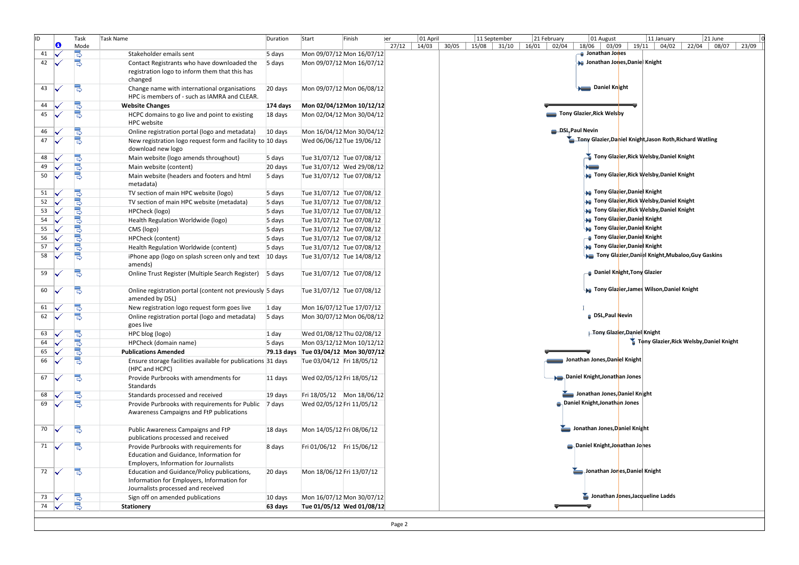| ID | O | Task                     | Task Name                                                                                                                       | Duration | Start                                | Finish | er    | 01 April |                | 11 September | 21 February    | 01 August                               | 11 January                                               | 21 June                                  |
|----|---|--------------------------|---------------------------------------------------------------------------------------------------------------------------------|----------|--------------------------------------|--------|-------|----------|----------------|--------------|----------------|-----------------------------------------|----------------------------------------------------------|------------------------------------------|
| 41 |   | Mode                     | Stakeholder emails sent                                                                                                         | 5 days   | Mon 09/07/12 Mon 16/07/12            |        | 27/12 | 14/03    | 15/08<br>30/05 | 31/10        | 16/01<br>02/04 | 18/06<br>Jonathan Jones                 | 03/09   19/11   04/02                                    | 22/04<br>08/07<br>23/09                  |
| 42 |   | Ş                        | Contact Registrants who have downloaded the                                                                                     | 5 days   | Mon 09/07/12 Mon 16/07/12            |        |       |          |                |              |                | <b>De</b> Jonathan Jones, Daniel Knight |                                                          |                                          |
|    |   |                          | registration logo to inform them that this has<br>changed                                                                       |          |                                      |        |       |          |                |              |                |                                         |                                                          |                                          |
| 43 |   | B                        | Change name with international organisations<br>HPC is members of - such as IAMRA and CLEAR.                                    | 20 days  | Mon 09/07/12 Mon 06/08/12            |        |       |          |                |              |                | Daniel Knight                           |                                                          |                                          |
| 44 |   | 밓                        | <b>Website Changes</b>                                                                                                          | 174 days | Mon 02/04/12 Mon 10/12/12            |        |       |          |                |              |                |                                         |                                                          |                                          |
| 45 |   | 뎡                        | HCPC domains to go live and point to existing<br><b>HPC</b> website                                                             | 18 days  | Mon 02/04/12 Mon 30/04/12            |        |       |          |                |              |                | Tony Glazier, Rick Welsby               |                                                          |                                          |
| 46 |   | 밓                        | Online registration portal (logo and metadata)                                                                                  | 10 days  | Mon 16/04/12 Mon 30/04/12            |        |       |          |                |              |                | DSL, Paul Nevin                         |                                                          |                                          |
| 47 |   | 뎡                        | New registration logo request form and facility to 10 days<br>download new logo                                                 |          | Wed 06/06/12 Tue 19/06/12            |        |       |          |                |              |                |                                         | Tony Glazier, Daniel Knight, Jason Roth, Richard Watling |                                          |
| 48 |   |                          | Main website (logo amends throughout)                                                                                           | 5 days   | Tue 31/07/12 Tue 07/08/12            |        |       |          |                |              |                |                                         | Tony Glazier, Rick Welsby, Daniel Knight                 |                                          |
| 49 |   | ⊪و∎و                     | Main website (content)                                                                                                          | 20 days  | Tue 31/07/12 Wed 29/08/12            |        |       |          |                |              |                |                                         |                                                          |                                          |
| 50 |   | 뎡                        | Main website (headers and footers and html<br>metadata)                                                                         | 5 days   | Tue 31/07/12 Tue 07/08/12            |        |       |          |                |              |                |                                         | <b>Tony Glazier, Rick Welsby, Daniel Knight</b> (        |                                          |
| 51 |   |                          | TV section of main HPC website (logo)                                                                                           | 5 days   | Tue 31/07/12 Tue 07/08/12            |        |       |          |                |              |                | <b>an</b> Tony Glazier, Daniel Knight   |                                                          |                                          |
| 52 |   | <b>Do Do Do Do Do Do</b> | TV section of main HPC website (metadata)                                                                                       | 5 days   | Tue 31/07/12 Tue 07/08/12            |        |       |          |                |              |                |                                         | <b>G</b> Tony Glazier, Rick Welsby, Daniel Knight        |                                          |
| 53 |   |                          | HPCheck (logo)                                                                                                                  | 5 days   | Tue 31/07/12 Tue 07/08/12            |        |       |          |                |              |                |                                         | <b>Tony Glazier, Rick Welsby, Daniel Knight</b>          |                                          |
| 54 |   |                          | Health Regulation Worldwide (logo)                                                                                              | 5 days   | Tue 31/07/12 Tue 07/08/12            |        |       |          |                |              |                | <b>a</b> Tony Glazier, Daniel Knight    |                                                          |                                          |
| 55 |   |                          | CMS (logo)                                                                                                                      | 5 days   | Tue 31/07/12 Tue 07/08/12            |        |       |          |                |              |                | <b>ng</b> Tony Glazier, Daniel Knight   |                                                          |                                          |
| 56 |   |                          | <b>HPCheck (content)</b>                                                                                                        | 5 days   | Tue 31/07/12 Tue 07/08/12            |        |       |          |                |              |                | <b>Tony Glazier,Daniel Knight</b> –     |                                                          |                                          |
| 57 |   |                          | Health Regulation Worldwide (content)                                                                                           | 5 days   | Tue 31/07/12 Tue 07/08/12            |        |       |          |                |              |                | <b>De</b> Tony Glazier, Daniel Knight   |                                                          |                                          |
| 58 |   | 틩                        | iPhone app (logo on splash screen only and text 10 days<br>amends)                                                              |          | Tue 31/07/12 Tue 14/08/12            |        |       |          |                |              |                |                                         | Tony Glazier, Daniel Knight, Mubaloo, Guy Gaskins        |                                          |
| 59 |   | B                        | Online Trust Register (Multiple Search Register) 5 days                                                                         |          | Tue 31/07/12 Tue 07/08/12            |        |       |          |                |              |                | <b>Daniel Knight, Tony Glazier</b> ـ    |                                                          |                                          |
| 60 |   | B                        | Online registration portal (content not previously 5 days<br>amended by DSL)                                                    |          | Tue 31/07/12 Tue 07/08/12            |        |       |          |                |              |                |                                         | <b>Tony Glazier, James Wilson, Daniel Knight</b>         |                                          |
| 61 |   | 밓                        | New registration logo request form goes live                                                                                    | 1 day    | Mon 16/07/12 Tue 17/07/12            |        |       |          |                |              |                |                                         |                                                          |                                          |
| 62 |   | 뎡                        | Online registration portal (logo and metadata)<br>goes live                                                                     | 5 days   | Mon 30/07/12 Mon 06/08/12            |        |       |          |                |              |                | <b>DSL, Paul Nevin</b>                  |                                                          |                                          |
| 63 |   | B                        | HPC blog (logo)                                                                                                                 | 1 day    | Wed 01/08/12 Thu 02/08/12            |        |       |          |                |              |                | <b>Tony Glazier, Daniel Knight</b>      |                                                          |                                          |
| 64 |   | j<br>R                   | HPCheck (domain name)                                                                                                           | 5 days   | Mon 03/12/12 Mon 10/12/12            |        |       |          |                |              |                |                                         |                                                          | Tony Glazier, Rick Welsby, Daniel Knight |
| 65 |   |                          | <b>Publications Amended</b>                                                                                                     |          | 79.13 days Tue 03/04/12 Mon 30/07/12 |        |       |          |                |              |                |                                         |                                                          |                                          |
| 66 |   | 링                        | Ensure storage facilities available for publications 31 days<br>(HPC and HCPC)                                                  |          | Tue 03/04/12 Fri 18/05/12            |        |       |          |                |              |                | Jonathan Jones, Daniel Knight           |                                                          |                                          |
| 67 |   |                          | Provide Purbrooks with amendments for<br>Standards                                                                              | 11 days  | Wed 02/05/12 Fri 18/05/12            |        |       |          |                |              |                | Daniel Knight, Jonathan Jones           |                                                          |                                          |
| 68 |   | B                        | Standards processed and received                                                                                                | 19 days  | Fri 18/05/12 Mon 18/06/12            |        |       |          |                |              |                | Jonathan Jones, Daniel Knight           |                                                          |                                          |
| 69 |   | 딩                        | Provide Purbrooks with requirements for Public 7 days<br>Awareness Campaigns and FtP publications                               |          | Wed 02/05/12 Fri 11/05/12            |        |       |          |                |              |                | <b>B</b> Daniel Knight, Jonathan Jones  |                                                          |                                          |
| 70 |   | B                        | Public Awareness Campaigns and FtP<br>publications processed and received                                                       | 18 days  | Mon 14/05/12 Fri 08/06/12            |        |       |          |                |              |                | Jonathan Jones, Daniel Knight           |                                                          |                                          |
| 71 |   | 73                       | Provide Purbrooks with requirements for<br>Education and Guidance, Information for<br>Employers, Information for Journalists    | 8 days   | Fri 01/06/12    Fri 15/06/12         |        |       |          |                |              |                | Daniel Knight, Jonathan Jones           |                                                          |                                          |
| 72 |   |                          | Education and Guidance/Policy publications,<br>Information for Employers, Information for<br>Journalists processed and received | 20 days  | Mon 18/06/12 Fri 13/07/12            |        |       |          |                |              |                | Jonathan Jones, Danie Knight            |                                                          |                                          |
| 73 |   | 밓                        | Sign off on amended publications                                                                                                | 10 days  | Mon 16/07/12 Mon 30/07/12            |        |       |          |                |              |                |                                         | Jonathan Jones, Jacqueline Ladds                         |                                          |
| 74 |   | Ś                        | <b>Stationery</b>                                                                                                               | 63 days  | Tue 01/05/12 Wed 01/08/12            |        |       |          |                |              |                |                                         |                                                          |                                          |
|    |   |                          |                                                                                                                                 |          |                                      |        |       |          |                |              |                |                                         |                                                          |                                          |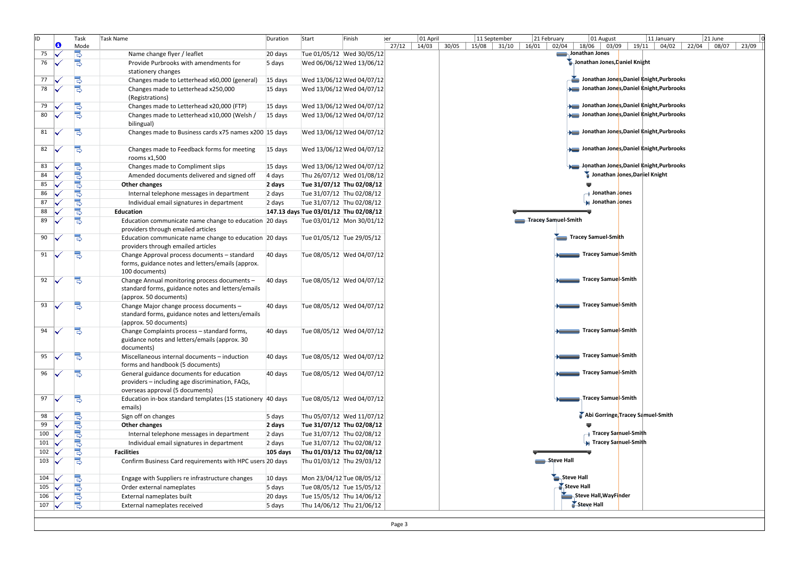| lıd           |   | Task        | Task Name                                                  | Duration | Start                                 | Finish                    | 01 April       | 21 June                                                                                                                                                         |
|---------------|---|-------------|------------------------------------------------------------|----------|---------------------------------------|---------------------------|----------------|-----------------------------------------------------------------------------------------------------------------------------------------------------------------|
|               | O | Mode        |                                                            |          |                                       |                           | 27/12<br>14/03 | 11 September<br>11 January<br>21 February<br>01 August<br>30/05<br>02/04<br>19/11<br>22/04<br>08/07<br>23/09<br>15/08 31/10<br>16/01<br>18/06<br>03/09<br>04/02 |
| 75            |   | B           | Name change flyer / leaflet                                | 20 days  |                                       | Tue 01/05/12 Wed 30/05/12 |                | Jonathan Jones                                                                                                                                                  |
| 76            |   | 틩           | Provide Purbrooks with amendments for                      | 5 days   |                                       | Wed 06/06/12 Wed 13/06/12 |                | Jonathan Jones, Daniel Knight                                                                                                                                   |
|               |   |             | stationery changes                                         |          |                                       |                           |                |                                                                                                                                                                 |
| 77            |   | 몽           | Changes made to Letterhead x60,000 (general)               | 15 days  |                                       | Wed 13/06/12 Wed 04/07/12 |                | Jonathan Jones, Daniel Knight, Purbrooks                                                                                                                        |
| 78            |   | 官           | Changes made to Letterhead x250,000                        | 15 days  |                                       | Wed 13/06/12 Wed 04/07/12 |                | Jonathan Jones, Daniel Knight, Purbrooks                                                                                                                        |
|               |   |             | (Registrations)                                            |          |                                       |                           |                |                                                                                                                                                                 |
| 79            |   | 믱           | Changes made to Letterhead x20,000 (FTP)                   | 15 days  |                                       | Wed 13/06/12 Wed 04/07/12 |                | Jonathan Jones, Daniel Knight, Purbrooks                                                                                                                        |
| 80            |   | s           | Changes made to Letterhead x10,000 (Welsh /                | 15 days  |                                       | Wed 13/06/12 Wed 04/07/12 |                | Jonathan Jones, Daniel Knight, Purbrooks                                                                                                                        |
|               |   |             | bilingual)                                                 |          |                                       |                           |                |                                                                                                                                                                 |
| 81            |   | B           | Changes made to Business cards x75 names x200 15 days      |          |                                       | Wed 13/06/12 Wed 04/07/12 |                | Jonathan Jones, Daniel Knight, Purbrooks                                                                                                                        |
|               |   |             |                                                            |          |                                       |                           |                |                                                                                                                                                                 |
| 82            |   | 믱           | Changes made to Feedback forms for meeting                 | 15 days  |                                       | Wed 13/06/12 Wed 04/07/12 |                | Jonathan Jones, Daniel Knight, Purbrooks                                                                                                                        |
|               |   |             | rooms x1,500                                               |          |                                       |                           |                |                                                                                                                                                                 |
| 83            |   | B           | Changes made to Compliment slips                           | 15 days  |                                       | Wed 13/06/12 Wed 04/07/12 |                | Jonathan Jones, Daniel Knight, Purbrooks                                                                                                                        |
| 84            |   | .∎م∎م       | Amended documents delivered and signed off                 | 4 days   |                                       | Thu 26/07/12 Wed 01/08/12 |                | Jonathan Jones, Dariel Knight                                                                                                                                   |
| 85            |   |             | Other changes                                              | 2 days   |                                       | Tue 31/07/12 Thu 02/08/12 |                |                                                                                                                                                                 |
| 86            |   |             | Internal telephone messages in department                  | 2 days   | Tue 31/07/12 Thu 02/08/12             |                           |                | → Jonathan Jones                                                                                                                                                |
| 87            |   |             | Individual email signatures in department                  | 2 days   | Tue 31/07/12 Thu 02/08/12             |                           |                | Jonathan Jones                                                                                                                                                  |
| 88            |   | 3<br>S      | Education                                                  |          | 147.13 days Tue 03/01/12 Thu 02/08/12 |                           |                |                                                                                                                                                                 |
| 89            |   | B           | Education communicate name change to education 20 days     |          |                                       | Tue 03/01/12 Mon 30/01/12 |                | Tracey Samuel-Smith                                                                                                                                             |
|               |   |             | providers through emailed articles                         |          |                                       |                           |                |                                                                                                                                                                 |
| 90            |   | B           | Education communicate name change to education 20 days     |          | Tue 01/05/12 Tue 29/05/12             |                           |                | Tracey Samuel-Smith                                                                                                                                             |
|               |   |             | providers through emailed articles                         |          |                                       |                           |                |                                                                                                                                                                 |
| 91            |   | B           | Change Approval process documents - standard               | 40 days  |                                       | Tue 08/05/12 Wed 04/07/12 |                | <b>Tracey Samuel-Smith</b> Tracey Samuel Smith                                                                                                                  |
|               |   |             | forms, guidance notes and letters/emails (approx.          |          |                                       |                           |                |                                                                                                                                                                 |
|               |   |             | 100 documents)                                             |          |                                       |                           |                |                                                                                                                                                                 |
| 92            |   | 몽           | Change Annual monitoring process documents -               | 40 days  |                                       | Tue 08/05/12 Wed 04/07/12 |                | Tracey Samue <mark>l</mark> -Smith                                                                                                                              |
|               |   |             | standard forms, guidance notes and letters/emails          |          |                                       |                           |                |                                                                                                                                                                 |
|               |   |             | (approx. 50 documents)                                     |          |                                       |                           |                |                                                                                                                                                                 |
| 93            |   | B           | Change Major change process documents -                    | 40 days  |                                       | Tue 08/05/12 Wed 04/07/12 |                | Tracey Samuel-Smith                                                                                                                                             |
|               |   |             | standard forms, guidance notes and letters/emails          |          |                                       |                           |                |                                                                                                                                                                 |
|               |   |             | (approx. 50 documents)                                     |          |                                       |                           |                |                                                                                                                                                                 |
| 94            |   |             | Change Complaints process - standard forms,                | 40 days  |                                       | Tue 08/05/12 Wed 04/07/12 |                | <b>Example 3</b> Tracey Samuel-Smith                                                                                                                            |
|               |   |             | guidance notes and letters/emails (approx. 30              |          |                                       |                           |                |                                                                                                                                                                 |
|               |   |             | documents)                                                 |          |                                       |                           |                |                                                                                                                                                                 |
| 95            |   | 73          | Miscellaneous internal documents - induction               | 40 days  |                                       | Tue 08/05/12 Wed 04/07/12 |                | Tracey Samuel-Smith                                                                                                                                             |
|               |   |             | forms and handbook (5 documents)                           |          |                                       |                           |                |                                                                                                                                                                 |
| 96            |   | B           | General guidance documents for education                   | 40 days  |                                       | Tue 08/05/12 Wed 04/07/12 |                | Tracey Samuel-Smith                                                                                                                                             |
|               |   |             | providers - including age discrimination, FAQs,            |          |                                       |                           |                |                                                                                                                                                                 |
|               |   |             | overseas approval (5 documents)                            |          |                                       |                           |                |                                                                                                                                                                 |
| 97            |   | B           | Education in-box standard templates (15 stationery 40 days |          |                                       | Tue 08/05/12 Wed 04/07/12 |                | <b>Tracey Samuel-Smith</b>                                                                                                                                      |
|               |   |             | emails)                                                    |          |                                       |                           |                |                                                                                                                                                                 |
| 98            |   | 몽           | Sign off on changes                                        | 5 days   |                                       | Thu 05/07/12 Wed 11/07/12 |                | Abi Gorringe, Tracey Samuel-Smith                                                                                                                               |
| 99            |   | Š           | Other changes                                              | 2 days   |                                       | Tue 31/07/12 Thu 02/08/12 |                |                                                                                                                                                                 |
| 100           |   |             | Internal telephone messages in department                  | 2 days   | Tue 31/07/12 Thu 02/08/12             |                           |                | — Tracey Sar <mark>nuel-Smit</mark> h                                                                                                                           |
| 101 $\sqrt$   |   | 뎡           | Individual email signatures in department                  | 2 days   | Tue 31/07/12 Thu 02/08/12             |                           |                | <b>W</b> Tracey Sarnuel-Smith                                                                                                                                   |
| 102           |   | 밓           | <b>Facilities</b>                                          | 105 days | Thu 01/03/12 Thu 02/08/12             |                           |                |                                                                                                                                                                 |
| 103           |   | Б           | Confirm Business Card requirements with HPC users 20 days  |          |                                       | Thu 01/03/12 Thu 29/03/12 |                | Steve Hall                                                                                                                                                      |
|               |   |             |                                                            |          |                                       |                           |                |                                                                                                                                                                 |
| 104           |   | <b>Bolo</b> | Engage with Suppliers re infrastructure changes            | 10 days  | Mon 23/04/12 Tue 08/05/12             |                           |                | Steve Hall                                                                                                                                                      |
| 105           |   |             | Order external nameplates                                  | 5 days   | Tue 08/05/12 Tue 15/05/12             |                           |                | Steve Hall                                                                                                                                                      |
| 106           |   | 밍           | External nameplates built                                  | 20 days  | Tue 15/05/12 Thu 14/06/12             |                           |                | Steve Hall, WayFinder                                                                                                                                           |
| 107 $\sqrt{}$ |   | B           | External nameplates received                               | 5 days   | Thu 14/06/12 Thu 21/06/12             |                           |                | Steve Hall                                                                                                                                                      |
|               |   |             |                                                            |          |                                       |                           |                |                                                                                                                                                                 |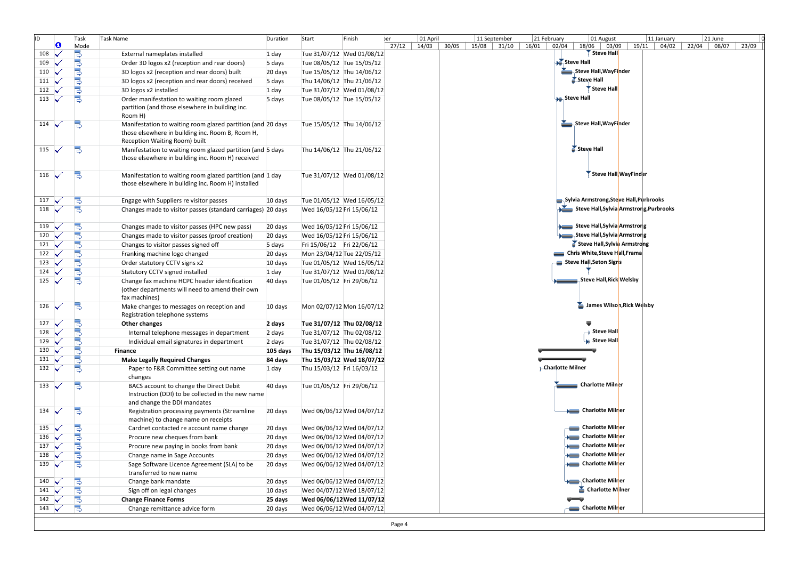| ID. | O              | Task                  | <b>Task Name</b>                                                                                                                                 | Duration | Start                     | Finish | er          | 01 April |       | 11 September | 21 February |                           | 01 August                               | 11 January  | 21 June |       |       |
|-----|----------------|-----------------------|--------------------------------------------------------------------------------------------------------------------------------------------------|----------|---------------------------|--------|-------------|----------|-------|--------------|-------------|---------------------------|-----------------------------------------|-------------|---------|-------|-------|
| 108 | ✓              | Mode                  | External nameplates installed                                                                                                                    | 1 day    | Tue 31/07/12 Wed 01/08/12 |        | 27/12 14/03 |          | 30/05 | 15/08 31/10  | 16/01       | 02/04<br>18/06            | 03/09<br>Steve Hall                     | 19/11 04/02 | 22/04   | 08/07 | 23/09 |
| 109 | M              | 5<br>5                | Order 3D logos x2 (reception and rear doors)                                                                                                     | 5 days   | Tue 08/05/12 Tue 15/05/12 |        |             |          |       |              |             | Steve Hall                |                                         |             |         |       |       |
| 110 | ✓              |                       | 3D logos x2 (reception and rear doors) built                                                                                                     | 20 days  | Tue 15/05/12 Thu 14/06/12 |        |             |          |       |              |             |                           | Steve Hall, WayFinder                   |             |         |       |       |
| 111 | ✓              | بالولو                | 3D logos x2 (reception and rear doors) received                                                                                                  | 5 days   | Thu 14/06/12 Thu 21/06/12 |        |             |          |       |              |             | Steve Hall                |                                         |             |         |       |       |
| 112 |                |                       | 3D logos x2 installed                                                                                                                            | 1 day    | Tue 31/07/12 Wed 01/08/12 |        |             |          |       |              |             |                           | Steve Hall                              |             |         |       |       |
| 113 |                | alal.                 | Order manifestation to waiting room glazed                                                                                                       | 5 days   | Tue 08/05/12 Tue 15/05/12 |        |             |          |       |              |             | <b>An</b> Steve Hall      |                                         |             |         |       |       |
|     |                |                       | partition (and those elsewhere in building inc.<br>Room H)                                                                                       |          |                           |        |             |          |       |              |             |                           |                                         |             |         |       |       |
| 114 |                | B                     | Manifestation to waiting room glazed partition (and 20 days<br>those elsewhere in building inc. Room B, Room H,<br>Reception Waiting Room) built |          | Tue 15/05/12 Thu 14/06/12 |        |             |          |       |              |             |                           | Steve Hall, WayFinder                   |             |         |       |       |
| 115 | ✓              | B                     | Manifestation to waiting room glazed partition (and 5 days<br>those elsewhere in building inc. Room H) received                                  |          | Thu 14/06/12 Thu 21/06/12 |        |             |          |       |              |             | Steve Hall                |                                         |             |         |       |       |
| 116 |                | B                     | Manifestation to waiting room glazed partition (and 1 day<br>those elsewhere in building inc. Room H) installed                                  |          | Tue 31/07/12 Wed 01/08/12 |        |             |          |       |              |             |                           | Steve Hall, WayFinder                   |             |         |       |       |
| 117 |                | الوالۍ                | Engage with Suppliers re visitor passes                                                                                                          | 10 days  | Tue 01/05/12 Wed 16/05/12 |        |             |          |       |              |             |                           | Sylvia Armstrong, Steve Hall, Purbrooks |             |         |       |       |
| 118 |                |                       | Changes made to visitor passes (standard carriages) 20 days                                                                                      |          | Wed 16/05/12 Fri 15/06/12 |        |             |          |       |              |             |                           | Steve Hall, Sylvia Armstrong, Purbrooks |             |         |       |       |
| 119 |                | ֍ՠ֍ՠ֍ՠ֍ՠ֍             | Changes made to visitor passes (HPC new pass)                                                                                                    | 20 days  | Wed 16/05/12 Fri 15/06/12 |        |             |          |       |              |             |                           | Steve Hall, Sylvia Armstrong            |             |         |       |       |
| 120 |                |                       | Changes made to visitor passes (proof creation)                                                                                                  | 20 days  | Wed 16/05/12 Fri 15/06/12 |        |             |          |       |              |             |                           | Steve Hall, Sylvia Armstrong            |             |         |       |       |
| 121 |                |                       | Changes to visitor passes signed off                                                                                                             | 5 days   | Fri 15/06/12 Fri 22/06/12 |        |             |          |       |              |             |                           | Steve Hall, Sylvia Armstrong            |             |         |       |       |
| 122 | M              |                       | Franking machine logo changed                                                                                                                    | 20 days  | Mon 23/04/12 Tue 22/05/12 |        |             |          |       |              |             |                           | Chris White, Steve Hall, Frama          |             |         |       |       |
| 123 |                |                       | Order statutory CCTV signs x2                                                                                                                    | 10 days  | Tue 01/05/12 Wed 16/05/12 |        |             |          |       |              |             |                           | Steve Hall, Seton Signs                 |             |         |       |       |
| 124 |                |                       | Statutory CCTV signed installed                                                                                                                  | 1 day    | Tue 31/07/12 Wed 01/08/12 |        |             |          |       |              |             |                           |                                         |             |         |       |       |
| 125 |                | Ś                     | Change fax machine HCPC header identification<br>(other departments will need to amend their own<br>fax machines)                                | 40 days  | Tue 01/05/12 Fri 29/06/12 |        |             |          |       |              |             |                           | Steve Hall, Rick Welsby                 |             |         |       |       |
| 126 |                | B                     | Make changes to messages on reception and<br>Registration telephone systems                                                                      | 10 days  | Mon 02/07/12 Mon 16/07/12 |        |             |          |       |              |             |                           | James Wilson, Rick Welsby               |             |         |       |       |
| 127 |                | والمواموالم           | Other changes                                                                                                                                    | 2 days   | Tue 31/07/12 Thu 02/08/12 |        |             |          |       |              |             |                           |                                         |             |         |       |       |
| 128 | ✓              |                       | Internal telephone messages in department                                                                                                        | 2 days   | Tue 31/07/12 Thu 02/08/12 |        |             |          |       |              |             |                           | → Steve Hall                            |             |         |       |       |
| 129 | ✓              |                       | Individual email signatures in department                                                                                                        | 2 days   | Tue 31/07/12 Thu 02/08/12 |        |             |          |       |              |             |                           | <b>K</b> Steve Hall                     |             |         |       |       |
| 130 |                |                       | <b>Finance</b>                                                                                                                                   | 105 days | Thu 15/03/12 Thu 16/08/12 |        |             |          |       |              |             |                           |                                         |             |         |       |       |
| 131 | V              | 뎡                     | <b>Make Legally Required Changes</b>                                                                                                             | 84 days  | Thu 15/03/12 Wed 18/07/12 |        |             |          |       |              |             |                           |                                         |             |         |       |       |
| 132 | ✓              | 뎡                     | Paper to F&R Committee setting out name<br>changes                                                                                               | 1 day    | Thu 15/03/12 Fri 16/03/12 |        |             |          |       |              |             | <b>L-Charlotte Milner</b> |                                         |             |         |       |       |
| 133 |                | B                     | BACS account to change the Direct Debit<br>Instruction (DDI) to be collected in the new name<br>and change the DDI mandates                      | 40 days  | Tue 01/05/12 Fri 29/06/12 |        |             |          |       |              |             |                           | Charlotte Milner                        |             |         |       |       |
| 134 |                | 믱                     | Registration processing payments (Streamline<br>machine) to change name on receipts                                                              | 20 days  | Wed 06/06/12 Wed 04/07/12 |        |             |          |       |              |             |                           | <b>Charlotte Milner</b>                 |             |         |       |       |
| 135 |                |                       | Cardnet contacted re account name change                                                                                                         | 20 days  | Wed 06/06/12 Wed 04/07/12 |        |             |          |       |              |             |                           | Charlotte Milner                        |             |         |       |       |
| 136 |                | <b>De De De De De</b> | Procure new cheques from bank                                                                                                                    | 20 days  | Wed 06/06/12 Wed 04/07/12 |        |             |          |       |              |             |                           | <b>Charlotte Milner</b>                 |             |         |       |       |
| 137 | M              |                       | Procure new paying in books from bank                                                                                                            | 20 days  | Wed 06/06/12 Wed 04/07/12 |        |             |          |       |              |             |                           | <b>New Charlotte Milner</b>             |             |         |       |       |
| 138 |                |                       | Change name in Sage Accounts                                                                                                                     | 20 days  | Wed 06/06/12 Wed 04/07/12 |        |             |          |       |              |             |                           | <b>New Charlotte Milner</b>             |             |         |       |       |
| 139 |                |                       | Sage Software Licence Agreement (SLA) to be<br>transferred to new name                                                                           | 20 days  | Wed 06/06/12 Wed 04/07/12 |        |             |          |       |              |             |                           | Charlotte Milner                        |             |         |       |       |
| 140 |                |                       | Change bank mandate                                                                                                                              | 20 days  | Wed 06/06/12 Wed 04/07/12 |        |             |          |       |              |             |                           | Charlotte Milner                        |             |         |       |       |
| 141 | ✓              | اراران<br>ماران       | Sign off on legal changes                                                                                                                        | 10 days  | Wed 04/07/12 Wed 18/07/12 |        |             |          |       |              |             |                           | Charlotte Milner                        |             |         |       |       |
| 142 |                |                       | <b>Change Finance Forms</b>                                                                                                                      | 25 days  | Wed 06/06/12 Wed 11/07/12 |        |             |          |       |              |             |                           |                                         |             |         |       |       |
|     | 143 $\sqrt{ }$ | B                     | Change remittance advice form                                                                                                                    | 20 days  | Wed 06/06/12 Wed 04/07/12 |        |             |          |       |              |             |                           | Charlotte Milner                        |             |         |       |       |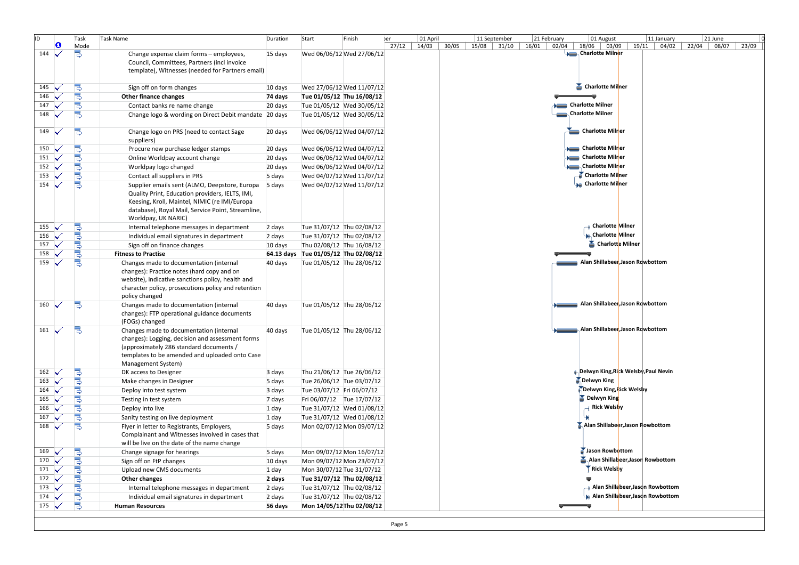| ID.            |        | Task                     | Task Name                                                                                        | Duration | Start                                | Finish                    | 01 April<br>ber |       | 11 September | 21 February | 01 August                                               | 11 January                        | 21 June     |       |
|----------------|--------|--------------------------|--------------------------------------------------------------------------------------------------|----------|--------------------------------------|---------------------------|-----------------|-------|--------------|-------------|---------------------------------------------------------|-----------------------------------|-------------|-------|
| 144            | O<br>↩ | Mode<br>73               |                                                                                                  |          |                                      | Wed 06/06/12 Wed 27/06/12 | 27/12 14/03     | 30/05 | 15/08 31/10  | 16/01       | $02/04$   18/06   03/09<br><b>News</b> Charlotte Milner | 19/11 04/02                       | 22/04 08/07 | 23/09 |
|                |        |                          | Change expense claim forms - employees,<br>Council, Committees, Partners (incl invoice           | 15 days  |                                      |                           |                 |       |              |             |                                                         |                                   |             |       |
|                |        |                          | template), Witnesses (needed for Partners email)                                                 |          |                                      |                           |                 |       |              |             |                                                         |                                   |             |       |
|                |        |                          |                                                                                                  |          |                                      |                           |                 |       |              |             |                                                         |                                   |             |       |
| 145            |        |                          | Sign off on form changes                                                                         | 10 days  |                                      | Wed 27/06/12 Wed 11/07/12 |                 |       |              |             | Charlotte Milner                                        |                                   |             |       |
| 146            |        |                          | Other finance changes                                                                            | 74 days  | Tue 01/05/12 Thu 16/08/12            |                           |                 |       |              |             |                                                         |                                   |             |       |
| 147            |        | ndomono                  | Contact banks re name change                                                                     | 20 days  |                                      | Tue 01/05/12 Wed 30/05/12 |                 |       |              |             | Charlotte Milner                                        |                                   |             |       |
| 148            |        |                          | Change logo & wording on Direct Debit mandate 20 days                                            |          |                                      | Tue 01/05/12 Wed 30/05/12 |                 |       |              |             | Charlotte Milner                                        |                                   |             |       |
|                |        |                          |                                                                                                  |          |                                      |                           |                 |       |              |             |                                                         |                                   |             |       |
| 149            |        | 5                        | Change logo on PRS (need to contact Sage                                                         | 20 days  |                                      | Wed 06/06/12 Wed 04/07/12 |                 |       |              |             | Charlotte Milner                                        |                                   |             |       |
|                |        |                          | suppliers)                                                                                       |          |                                      |                           |                 |       |              |             |                                                         |                                   |             |       |
| 150            |        | <b>Bul</b> d             | Procure new purchase ledger stamps                                                               | 20 days  |                                      | Wed 06/06/12 Wed 04/07/12 |                 |       |              |             | <b>Charlotte Milner</b>                                 |                                   |             |       |
| 151            |        |                          | Online Worldpay account change                                                                   | 20 days  |                                      | Wed 06/06/12 Wed 04/07/12 |                 |       |              |             | <b>Charlotte Milner</b>                                 |                                   |             |       |
| 152            |        | ب∎ې∎ب                    | Worldpay logo changed                                                                            | 20 days  |                                      | Wed 06/06/12 Wed 04/07/12 |                 |       |              |             | Charlotte Milner                                        |                                   |             |       |
| 153            | ✓      |                          | Contact all suppliers in PRS                                                                     | 5 days   |                                      | Wed 04/07/12 Wed 11/07/12 |                 |       |              |             | Charlotte Milner                                        |                                   |             |       |
| 154            |        | 틩                        | Supplier emails sent (ALMO, Deepstore, Europa                                                    | 5 days   |                                      | Wed 04/07/12 Wed 11/07/12 |                 |       |              |             | <b>a</b> Charlotte Milner                               |                                   |             |       |
|                |        |                          | Quality Print, Education providers, IELTS, IMI,<br>Keesing, Kroll, Maintel, NIMIC (re IMI/Europa |          |                                      |                           |                 |       |              |             |                                                         |                                   |             |       |
|                |        |                          | database), Royal Mail, Service Point, Streamline,                                                |          |                                      |                           |                 |       |              |             |                                                         |                                   |             |       |
|                |        |                          | Worldpay, UK NARIC)                                                                              |          |                                      |                           |                 |       |              |             |                                                         |                                   |             |       |
| 155            |        |                          | Internal telephone messages in department                                                        | 2 days   | Tue 31/07/12 Thu 02/08/12            |                           |                 |       |              |             | <b>Charlotte Milner</b>                                 |                                   |             |       |
| 156            |        |                          | Individual email signatures in department                                                        | 2 days   | Tue 31/07/12 Thu 02/08/12            |                           |                 |       |              |             | <b>M.</b> Charlotte Milner                              |                                   |             |       |
| 157            |        |                          | Sign off on finance changes                                                                      | 10 days  | Thu 02/08/12 Thu 16/08/12            |                           |                 |       |              |             | Charlotte Milner                                        |                                   |             |       |
| 158            |        | ال ال ال                 | <b>Fitness to Practise</b>                                                                       |          | 64.13 days Tue 01/05/12 Thu 02/08/12 |                           |                 |       |              |             |                                                         |                                   |             |       |
| 159            |        | 틩                        | Changes made to documentation (internal                                                          | 40 days  | Tue 01/05/12 Thu 28/06/12            |                           |                 |       |              |             | Alan Shillabeer, Jason Rowbottom                        |                                   |             |       |
|                |        |                          | changes): Practice notes (hard copy and on                                                       |          |                                      |                           |                 |       |              |             |                                                         |                                   |             |       |
|                |        |                          | website), indicative sanctions policy, health and                                                |          |                                      |                           |                 |       |              |             |                                                         |                                   |             |       |
|                |        |                          | character policy, prosecutions policy and retention                                              |          |                                      |                           |                 |       |              |             |                                                         |                                   |             |       |
|                |        |                          | policy changed                                                                                   |          |                                      |                           |                 |       |              |             | Alan Shillabeer, Jason Rowbottom                        |                                   |             |       |
| 160            |        |                          | Changes made to documentation (internal<br>changes): FTP operational guidance documents          | 40 days  | Tue 01/05/12 Thu 28/06/12            |                           |                 |       |              |             |                                                         |                                   |             |       |
|                |        |                          | (FOGs) changed                                                                                   |          |                                      |                           |                 |       |              |             |                                                         |                                   |             |       |
| 161            |        |                          | Changes made to documentation (internal                                                          | 40 days  | Tue 01/05/12 Thu 28/06/12            |                           |                 |       |              |             | Alan Shillabeer, Jason Rowbottom                        |                                   |             |       |
|                |        |                          | changes): Logging, decision and assessment forms                                                 |          |                                      |                           |                 |       |              |             |                                                         |                                   |             |       |
|                |        |                          | (approximately 286 standard documents /                                                          |          |                                      |                           |                 |       |              |             |                                                         |                                   |             |       |
|                |        |                          | templates to be amended and uploaded onto Case                                                   |          |                                      |                           |                 |       |              |             |                                                         |                                   |             |       |
|                |        |                          | Management System)                                                                               |          |                                      |                           |                 |       |              |             |                                                         |                                   |             |       |
| 162            |        |                          | DK access to Designer                                                                            | 3 days   | Thu 21/06/12 Tue 26/06/12            |                           |                 |       |              |             | <b>B.</b> Delwyn King, Rick Welsby, Paul Nevin          |                                   |             |       |
| 163            |        | <b>Do Do Do Do Do Do</b> | Make changes in Designer                                                                         | 5 days   | Tue 26/06/12 Tue 03/07/12            |                           |                 |       |              |             | Delwyn King<br>Delwyn King, Rick Welsby                 |                                   |             |       |
| 164            |        |                          | Deploy into test system                                                                          | 3 days   | Tue 03/07/12 Fri 06/07/12            |                           |                 |       |              |             | Delwyn King                                             |                                   |             |       |
| 165            |        |                          | Testing in test system                                                                           | 7 days   | Fri 06/07/12 Tue 17/07/12            |                           |                 |       |              |             | ⊣ Rick Welsby                                           |                                   |             |       |
| 166            |        |                          | Deploy into live                                                                                 | 1 day    |                                      | Tue 31/07/12 Wed 01/08/12 |                 |       |              |             |                                                         |                                   |             |       |
| 167            |        | 틩                        | Sanity testing on live deployment                                                                | 1 day    |                                      | Tue 31/07/12 Wed 01/08/12 |                 |       |              |             | Alan Shillabeer, Jason Rowbottom                        |                                   |             |       |
| 168            |        |                          | Flyer in letter to Registrants, Employers,<br>Complainant and Witnesses involved in cases that   | 5 days   |                                      | Mon 02/07/12 Mon 09/07/12 |                 |       |              |             |                                                         |                                   |             |       |
|                |        |                          | will be live on the date of the name change                                                      |          |                                      |                           |                 |       |              |             |                                                         |                                   |             |       |
| 169            |        |                          | Change signage for hearings                                                                      | 5 days   |                                      | Mon 09/07/12 Mon 16/07/12 |                 |       |              |             | Jason Rowbottom                                         |                                   |             |       |
| 170            |        | <b>Bon</b>               | Sign off on FtP changes                                                                          | 10 days  |                                      | Mon 09/07/12 Mon 23/07/12 |                 |       |              |             | Alan Shillabeer, Jason Rowbottom                        |                                   |             |       |
| 171            | M      |                          | Upload new CMS documents                                                                         | 1 day    | Mon 30/07/12 Tue 31/07/12            |                           |                 |       |              |             | <b>Rick Welsby</b>                                      |                                   |             |       |
| 172            |        | alal.                    | Other changes                                                                                    | 2 days   | Tue 31/07/12 Thu 02/08/12            |                           |                 |       |              |             |                                                         |                                   |             |       |
| 173            | M      | 뎡                        | Internal telephone messages in department                                                        | 2 days   | Tue 31/07/12 Thu 02/08/12            |                           |                 |       |              |             |                                                         | ⊣ Alan Shillabeer,Jason Rowbottom |             |       |
| 174            |        | 밓                        | Individual email signatures in department                                                        | 2 days   | Tue 31/07/12 Thu 02/08/12            |                           |                 |       |              |             |                                                         | Alan Shillabeer, Jason Rowbottom  |             |       |
| 175 $\sqrt{ }$ |        | B                        | <b>Human Resources</b>                                                                           | 56 days  | Mon 14/05/12 Thu 02/08/12            |                           |                 |       |              |             |                                                         |                                   |             |       |
|                |        |                          |                                                                                                  |          |                                      |                           |                 |       |              |             |                                                         |                                   |             |       |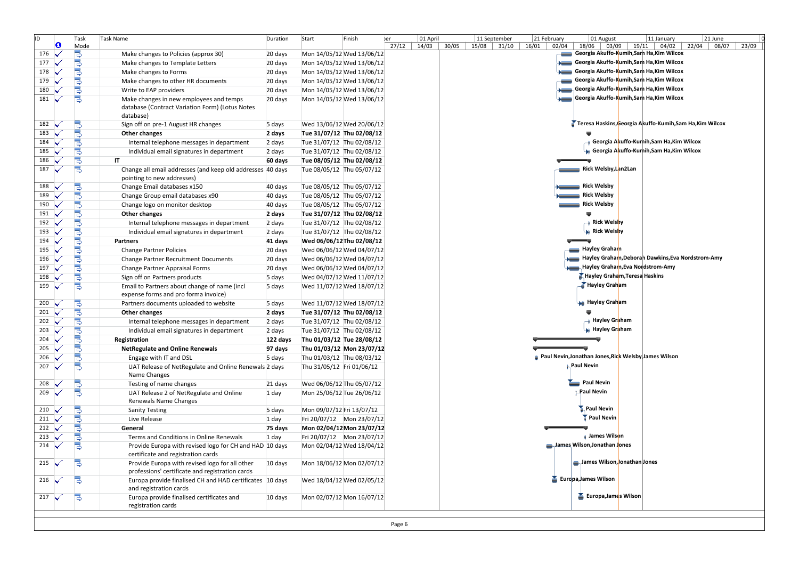| ID                    | O                        | Task<br>Mode          | <b>Task Name</b>                                                                                        | Duration  | Start                     | Finish                    | er.<br>27/12 | 01 April<br>14/03 | 30/05 | 11 September<br>15/08<br>31/10 | 21 February<br>16/01<br>02/04 | 01 August<br>18/06              | 11 January<br>$03/09$   19/11  <br>04/02                 | 21 June<br>08/07<br>22/04 | 23/09 |
|-----------------------|--------------------------|-----------------------|---------------------------------------------------------------------------------------------------------|-----------|---------------------------|---------------------------|--------------|-------------------|-------|--------------------------------|-------------------------------|---------------------------------|----------------------------------------------------------|---------------------------|-------|
| 176                   |                          |                       | Make changes to Policies (approx 30)                                                                    | 20 days   |                           | Mon 14/05/12 Wed 13/06/12 |              |                   |       |                                |                               |                                 | Georgia Akuffo-Kumih,Sarh Ha,Kim Wilcox                  |                           |       |
| 177                   |                          | <b>B</b>              | Make changes to Template Letters                                                                        | 20 days   |                           | Mon 14/05/12 Wed 13/06/12 |              |                   |       |                                |                               |                                 | Georgia Akuffo-Kumih,Sam Ha,Kim Wilcox                   |                           |       |
| 178                   |                          | ,<br>P⊽               | Make changes to Forms                                                                                   | 20 days   |                           | Mon 14/05/12 Wed 13/06/12 |              |                   |       |                                |                               |                                 | Georgia Akuffo-Kumih,Sam Ha,Kim Wilcox                   |                           |       |
| 179                   |                          |                       | Make changes to other HR documents                                                                      | 20 days   |                           | Mon 14/05/12 Wed 13/06/12 |              |                   |       |                                |                               |                                 | Georgia Akuffo-Kumih,Sam Ha,Kim Wilcox                   |                           |       |
| 180                   |                          |                       | Write to EAP providers                                                                                  | 20 days   |                           | Mon 14/05/12 Wed 13/06/12 |              |                   |       |                                |                               |                                 | Georgia Akuffo-Kumih,Sam Ha,Kim Wilcox                   |                           |       |
| 181                   |                          | .<br>R                | Make changes in new employees and temps<br>database (Contract Variation Form) (Lotus Notes<br>database) | 20 days   |                           | Mon 14/05/12 Wed 13/06/12 |              |                   |       |                                |                               |                                 | Georgia Akuffo-Kumih, Sam Ha, Kim Wilcox                 |                           |       |
| 182                   | $\overline{\phantom{a}}$ |                       | Sign off on pre-1 August HR changes                                                                     | 5 days    |                           | Wed 13/06/12 Wed 20/06/12 |              |                   |       |                                |                               |                                 | Teresa Haskins, Georgia Akuffo-Kumih, Sam Ha, Kim Wilcox |                           |       |
| 183                   |                          |                       | Other changes                                                                                           | 2 days    | Tue 31/07/12 Thu 02/08/12 |                           |              |                   |       |                                |                               |                                 |                                                          |                           |       |
| 184                   | M                        | <b>ԱԳ Հայալի համա</b> | Internal telephone messages in department                                                               | 2 days    | Tue 31/07/12 Thu 02/08/12 |                           |              |                   |       |                                |                               |                                 | Georgia Akuffo-Kumih,Sam Ha,Kim Wilcox و                 |                           |       |
| 185                   |                          |                       | Individual email signatures in department                                                               | 2 days    | Tue 31/07/12 Thu 02/08/12 |                           |              |                   |       |                                |                               |                                 | Georgia Akuffo-Kumih,Sam Ha,Kim Wilcox                   |                           |       |
| 186                   |                          |                       | <b>IT</b>                                                                                               | 60 days   | Tue 08/05/12 Thu 02/08/12 |                           |              |                   |       |                                |                               |                                 |                                                          |                           |       |
| 187                   |                          | 뎡                     | Change all email addresses (and keep old addresses 40 days<br>pointing to new addresses)                |           |                           | Tue 08/05/12 Thu 05/07/12 |              |                   |       |                                |                               | Rick Welsby, Lan2Lan            |                                                          |                           |       |
| 188                   |                          | الۍ الۍ               | Change Email databases x150                                                                             | 40 days   | Tue 08/05/12 Thu 05/07/12 |                           |              |                   |       |                                |                               | Rick Welsby                     |                                                          |                           |       |
| 189                   |                          |                       | Change Group email databases x90                                                                        | 40 days   | Tue 08/05/12 Thu 05/07/12 |                           |              |                   |       |                                |                               | <b>Rick Welsby</b>              |                                                          |                           |       |
| 190                   | $\overline{\mathbf{v}}$  | الوالوالو             | Change logo on monitor desktop                                                                          | 40 days   | Tue 08/05/12 Thu 05/07/12 |                           |              |                   |       |                                |                               | Rick Welsby                     |                                                          |                           |       |
| 191                   | M                        |                       | Other changes                                                                                           | 2 days    | Tue 31/07/12 Thu 02/08/12 |                           |              |                   |       |                                |                               |                                 |                                                          |                           |       |
| 192                   | $\overline{\mathbf{v}}$  |                       | Internal telephone messages in department                                                               | 2 days    |                           | Tue 31/07/12 Thu 02/08/12 |              |                   |       |                                |                               | ⊣ Rick Welsby                   |                                                          |                           |       |
| 193                   |                          | .<br>5                | Individual email signatures in department                                                               | 2 days    | Tue 31/07/12 Thu 02/08/12 |                           |              |                   |       |                                |                               | <b>Rick Welsby</b>              |                                                          |                           |       |
| 194                   | ₩                        |                       | <b>Partners</b>                                                                                         | 41 days   | Wed 06/06/12 Thu 02/08/12 |                           |              |                   |       |                                |                               |                                 |                                                          |                           |       |
| 195                   | M                        | المالمالم             | <b>Change Partner Policies</b>                                                                          | 20 days   |                           | Wed 06/06/12 Wed 04/07/12 |              |                   |       |                                |                               | Hayley Graham                   |                                                          |                           |       |
| 196                   | M                        |                       | Change Partner Recruitment Documents                                                                    | 20 days   |                           | Wed 06/06/12 Wed 04/07/12 |              |                   |       |                                |                               |                                 | Hayley Graham, Deborah Dawkins, Eva Nordstrom-Amy        |                           |       |
| 197                   | ₩                        |                       | Change Partner Appraisal Forms                                                                          | 20 days   |                           | Wed 06/06/12 Wed 04/07/12 |              |                   |       |                                |                               |                                 | Hayley Graham, Eva Nordstrom-Amy                         |                           |       |
| 198                   | M                        | 뎡                     | Sign off on Partners products                                                                           | 5 days    |                           | Wed 04/07/12 Wed 11/07/12 |              |                   |       |                                |                               | Hayley Graham, Teresa Haskins   |                                                          |                           |       |
| 199                   |                          | 밍                     | Email to Partners about change of name (incl<br>expense forms and pro forma invoice)                    | 5 days    |                           | Wed 11/07/12 Wed 18/07/12 |              |                   |       |                                |                               | <b>Hayley Graham</b>            |                                                          |                           |       |
| 200                   |                          | სტოსი                 | Partners documents uploaded to website                                                                  | 5 days    |                           | Wed 11/07/12 Wed 18/07/12 |              |                   |       |                                |                               | <b>An</b> Hayley Graham         |                                                          |                           |       |
| 201                   |                          |                       | Other changes                                                                                           | 2 days    | Tue 31/07/12 Thu 02/08/12 |                           |              |                   |       |                                |                               |                                 |                                                          |                           |       |
| 202                   |                          |                       | Internal telephone messages in department                                                               | 2 days    | Tue 31/07/12 Thu 02/08/12 |                           |              |                   |       |                                |                               | —∎ Hayley Gr <mark>a</mark> ham |                                                          |                           |       |
| 203                   |                          | .<br>5                | Individual email signatures in department                                                               | 2 days    |                           | Tue 31/07/12 Thu 02/08/12 |              |                   |       |                                |                               | <b>Hayley Graham</b>            |                                                          |                           |       |
| 204                   | ₩                        |                       | Registration                                                                                            | 122 days  | Thu 01/03/12 Tue 28/08/12 |                           |              |                   |       |                                |                               |                                 |                                                          |                           |       |
| 205                   |                          | .<br>S                | <b>NetRegulate and Online Renewals</b>                                                                  | 97 days   |                           | Thu 01/03/12 Mon 23/07/12 |              |                   |       |                                |                               |                                 |                                                          |                           |       |
| 206                   |                          |                       | Engage with IT and DSL                                                                                  | 5 days    | Thu 01/03/12 Thu 08/03/12 |                           |              |                   |       |                                |                               |                                 | Paul Nevin, Jonathan Jones, Rick Welsby James Wilson     |                           |       |
| 207                   |                          | 뎡                     | UAT Release of NetRegulate and Online Renewals 2 days<br>Name Changes                                   |           | Thu 31/05/12 Fri 01/06/12 |                           |              |                   |       |                                |                               | <b>A</b> Paul Nevin             |                                                          |                           |       |
| 208<br>209            |                          | 밓<br>틩                | Testing of name changes                                                                                 | 21 days   |                           | Wed 06/06/12 Thu 05/07/12 |              |                   |       |                                |                               | Paul Nevin<br>Paul Nevin        |                                                          |                           |       |
|                       |                          |                       | UAT Release 2 of NetRegulate and Online<br>Renewals Name Changes                                        | 1 day     |                           | Mon 25/06/12 Tue 26/06/12 |              |                   |       |                                |                               | <b>Paul Nevin</b>               |                                                          |                           |       |
| 210<br>211 $\sqrt{ }$ |                          | ال<br>وال             | <b>Sanity Testing</b>                                                                                   | 5 days    | Mon 09/07/12 Fri 13/07/12 |                           |              |                   |       |                                |                               | Paul Nevin                      |                                                          |                           |       |
| 212                   |                          | 뎡                     | Live Release<br>General                                                                                 | 1 day     |                           | Fri 20/07/12 Mon 23/07/12 |              |                   |       |                                |                               |                                 |                                                          |                           |       |
| 213                   |                          |                       |                                                                                                         | 75 days   |                           | Mon 02/04/12 Mon 23/07/12 |              |                   |       |                                |                               | <b>James Wilson</b>             |                                                          |                           |       |
|                       |                          | Š                     | Terms and Conditions in Online Renewals                                                                 | 1 day     |                           | Fri 20/07/12 Mon 23/07/12 |              |                   |       |                                |                               | James Wilson, Jonathan Jones    |                                                          |                           |       |
| 214                   |                          | B                     | Provide Europa with revised logo for CH and HAD 10 days<br>certificate and registration cards           |           |                           | Mon 02/04/12 Wed 18/04/12 |              |                   |       |                                |                               | James Wilson, Jonathan Jones    |                                                          |                           |       |
| 215                   |                          |                       | Provide Europa with revised logo for all other<br>professions' certificate and registration cards       | 10 days   |                           | Mon 18/06/12 Mon 02/07/12 |              |                   |       |                                |                               | Europa, James Wilson            |                                                          |                           |       |
| 216                   |                          | z                     | Europa provide finalised CH and HAD certificates 10 days<br>and registration cards                      |           |                           | Wed 18/04/12 Wed 02/05/12 |              |                   |       |                                |                               |                                 |                                                          |                           |       |
| 217                   |                          | B                     | Europa provide finalised certificates and<br>registration cards                                         | $10$ days |                           | Mon 02/07/12 Mon 16/07/12 |              |                   |       |                                |                               | <b>Europa, James Wilson</b>     |                                                          |                           |       |
|                       |                          |                       |                                                                                                         |           |                           |                           |              |                   |       |                                |                               |                                 |                                                          |                           |       |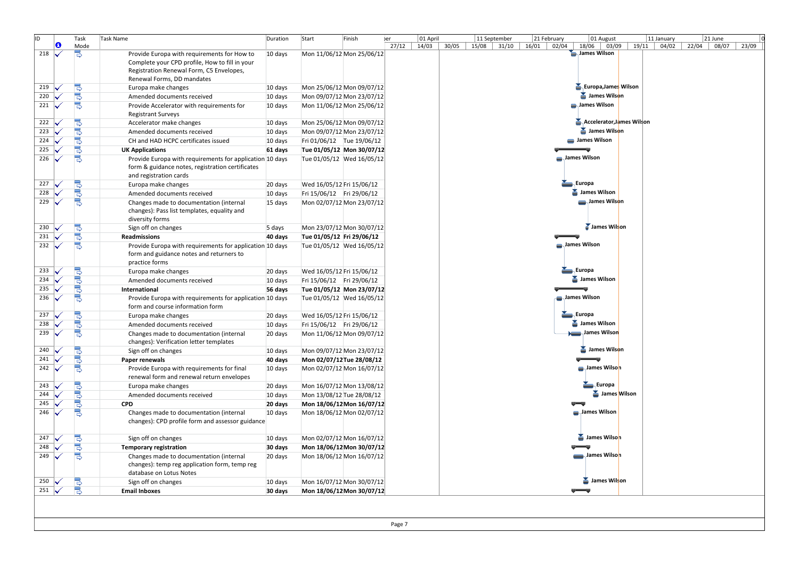| ID  |                         | Task          | Task Name                                                                                                                              | Duration | Start<br>Finish           | 01 April<br>Jer |       | 11 September<br>21 February | 01 August                   | 11 January  | 21 June                 |
|-----|-------------------------|---------------|----------------------------------------------------------------------------------------------------------------------------------------|----------|---------------------------|-----------------|-------|-----------------------------|-----------------------------|-------------|-------------------------|
|     | Θ                       | Mode          |                                                                                                                                        |          |                           | 27/12<br>14/03  | 30/05 | $15/08$ 31/10<br>16/01      | 02/04<br>18/06 03/09        | 19/11 04/02 | 08/07<br>22/04<br>23/09 |
| 218 | M                       |               | Provide Europa with requirements for How to                                                                                            | 10 days  | Mon 11/06/12 Mon 25/06/12 |                 |       |                             | James Wilson                |             |                         |
|     |                         |               | Complete your CPD profile, How to fill in your                                                                                         |          |                           |                 |       |                             |                             |             |                         |
|     |                         |               | Registration Renewal Form, C5 Envelopes,<br>Renewal Forms, DD mandates                                                                 |          |                           |                 |       |                             |                             |             |                         |
| 219 |                         |               |                                                                                                                                        | 10 days  | Mon 25/06/12 Mon 09/07/12 |                 |       |                             | <b>Europa, James Wilson</b> |             |                         |
| 220 | $\overline{\mathbf{v}}$ | الرال<br>ا    | Europa make changes<br>Amended documents received                                                                                      | 10 days  | Mon 09/07/12 Mon 23/07/12 |                 |       |                             | James Wilson                |             |                         |
| 221 |                         | 밍             |                                                                                                                                        |          |                           |                 |       |                             | James Wilson                |             |                         |
|     |                         |               | Provide Accelerator with requirements for<br><b>Registrant Surveys</b>                                                                 | 10 days  | Mon 11/06/12 Mon 25/06/12 |                 |       |                             |                             |             |                         |
| 222 |                         |               | Accelerator make changes                                                                                                               | 10 days  | Mon 25/06/12 Mon 09/07/12 |                 |       |                             | Accelerator, James Wilson   |             |                         |
| 223 |                         | ⊪واوان        | Amended documents received                                                                                                             | 10 days  | Mon 09/07/12 Mon 23/07/12 |                 |       |                             | James Wilson                |             |                         |
| 224 | ₩                       |               | CH and HAD HCPC certificates issued                                                                                                    | 10 days  | Fri 01/06/12 Tue 19/06/12 |                 |       |                             | James Wilson                |             |                         |
| 225 |                         | s<br>S        | <b>UK Applications</b>                                                                                                                 | 61 days  | Tue 01/05/12 Mon 30/07/12 |                 |       |                             |                             |             |                         |
| 226 |                         |               | Provide Europa with requirements for application 10 days<br>form & guidance notes, registration certificates<br>and registration cards |          | Tue 01/05/12 Wed 16/05/12 |                 |       |                             | James Wilson                |             |                         |
| 227 |                         |               | Europa make changes                                                                                                                    | 20 days  | Wed 16/05/12 Fri 15/06/12 |                 |       |                             | Europa                      |             |                         |
| 228 | M                       | <b>BuD</b>    | Amended documents received                                                                                                             | 10 days  | Fri 15/06/12 Fri 29/06/12 |                 |       |                             | James Wilson                |             |                         |
| 229 |                         | 뎡             | Changes made to documentation (internal<br>changes): Pass list templates, equality and<br>diversity forms                              | 15 days  | Mon 02/07/12 Mon 23/07/12 |                 |       |                             | James Wilson                |             |                         |
| 230 |                         | 5<br>5        | Sign off on changes                                                                                                                    | 5 days   | Mon 23/07/12 Mon 30/07/12 |                 |       |                             | James Wilson                |             |                         |
| 231 | M                       |               | <b>Readmissions</b>                                                                                                                    | 40 days  | Tue 01/05/12 Fri 29/06/12 |                 |       |                             |                             |             |                         |
| 232 |                         | 밍             | Provide Europa with requirements for application 10 days<br>form and guidance notes and returners to<br>practice forms                 |          | Tue 01/05/12 Wed 16/05/12 |                 |       |                             | James Wilson                |             |                         |
| 233 |                         | الوالوالق     | Europa make changes                                                                                                                    | 20 days  | Wed 16/05/12 Fri 15/06/12 |                 |       |                             | Europa                      |             |                         |
| 234 |                         |               | Amended documents received                                                                                                             | 10 days  | Fri 15/06/12 Fri 29/06/12 |                 |       |                             | James Wilson                |             |                         |
| 235 |                         |               | International                                                                                                                          | 56 days  | Tue 01/05/12 Mon 23/07/12 |                 |       |                             |                             |             |                         |
| 236 |                         | 뎡             | Provide Europa with requirements for application 10 days<br>form and course information form                                           |          | Tue 01/05/12 Wed 16/05/12 |                 |       |                             | James Wilson                |             |                         |
| 237 |                         | الوالوالو     | Europa make changes                                                                                                                    | 20 days  | Wed 16/05/12 Fri 15/06/12 |                 |       |                             | Europa                      |             |                         |
| 238 |                         |               | Amended documents received                                                                                                             | 10 days  | Fri 15/06/12 Fri 29/06/12 |                 |       |                             | James Wilson                |             |                         |
| 239 |                         |               | Changes made to documentation (internal<br>changes): Verification letter templates                                                     | 20 days  | Mon 11/06/12 Mon 09/07/12 |                 |       |                             | James Wilson                |             |                         |
| 240 |                         | <b>B</b>      | Sign off on changes                                                                                                                    | 10 days  | Mon 09/07/12 Mon 23/07/12 |                 |       |                             | James Wilson                |             |                         |
| 241 |                         |               | Paper renewals                                                                                                                         | 40 days  | Mon 02/07/12 Tue 28/08/12 |                 |       |                             |                             |             |                         |
| 242 |                         | 릥             | Provide Europa with requirements for final<br>renewal form and renewal return envelopes                                                | 10 days  | Mon 02/07/12 Mon 16/07/12 |                 |       |                             | James Wilson                |             |                         |
| 243 |                         |               | Europa make changes                                                                                                                    | 20 days  | Mon 16/07/12 Mon 13/08/12 |                 |       |                             | Europa                      |             |                         |
| 244 |                         | الرالراري     | Amended documents received                                                                                                             | 10 days  | Mon 13/08/12 Tue 28/08/12 |                 |       |                             | James Wilson                |             |                         |
| 245 |                         |               | <b>CPD</b>                                                                                                                             | 20 days  | Mon 18/06/12 Mon 16/07/12 |                 |       |                             |                             |             |                         |
| 246 |                         | 뎡             | Changes made to documentation (internal<br>changes): CPD profile form and assessor guidance                                            | 10 days  | Mon 18/06/12 Mon 02/07/12 |                 |       |                             | James Wilson                |             |                         |
| 247 |                         |               | Sign off on changes                                                                                                                    | 10 days  | Mon 02/07/12 Mon 16/07/12 |                 |       |                             | James Wilson                |             |                         |
| 248 |                         | <b>Doll</b> o | <b>Temporary registration</b>                                                                                                          | 30 days  | Mon 18/06/12 Mon 30/07/12 |                 |       |                             |                             |             |                         |
| 249 |                         | B             | Changes made to documentation (internal<br>changes): temp reg application form, temp reg                                               | 20 days  | Mon 18/06/12 Mon 16/07/12 |                 |       |                             | James Wilson                |             |                         |
|     |                         |               | database on Lotus Notes                                                                                                                |          |                           |                 |       |                             |                             |             |                         |
| 250 |                         | Ş             | Sign off on changes                                                                                                                    | 10 days  | Mon 16/07/12 Mon 30/07/12 |                 |       |                             | James Wilson                |             |                         |
| 251 | $\overline{\mathbf{v}}$ |               | <b>Email Inboxes</b>                                                                                                                   | 30 days  | Mon 18/06/12 Mon 30/07/12 |                 |       |                             |                             |             |                         |
|     |                         |               |                                                                                                                                        |          |                           |                 |       |                             |                             |             |                         |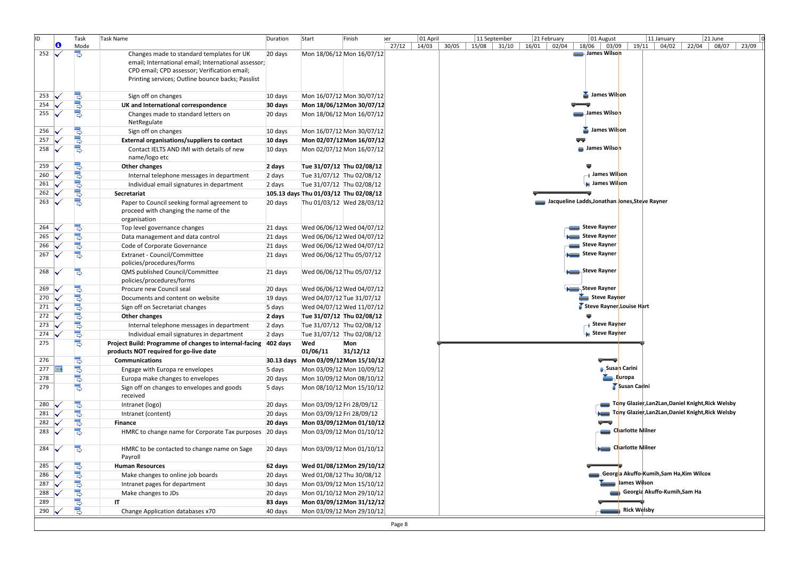| ID. |   | Task                     | Task Name                                                                                             | Duration | Start                                 | Finish                                           | er    | 01 April |       |             | 11 September |       | 21 February |              | 01 August                               | 11 January                                        | 21 June |       |       |
|-----|---|--------------------------|-------------------------------------------------------------------------------------------------------|----------|---------------------------------------|--------------------------------------------------|-------|----------|-------|-------------|--------------|-------|-------------|--------------|-----------------------------------------|---------------------------------------------------|---------|-------|-------|
|     | O | Mode                     |                                                                                                       |          |                                       |                                                  | 27/12 | 14/03    | 30/05 | 15/08 31/10 |              | 16/01 | 02/04       | 18/06        | 03/09                                   | $19/11$ 04/02                                     | 22/04   | 08/07 | 23/09 |
| 252 | ✓ | B                        | Changes made to standard templates for UK                                                             | 20 days  |                                       | Mon 18/06/12 Mon 16/07/12                        |       |          |       |             |              |       |             |              | James Wilson                            |                                                   |         |       |       |
|     |   |                          | email; International email; International assessor;                                                   |          |                                       |                                                  |       |          |       |             |              |       |             |              |                                         |                                                   |         |       |       |
|     |   |                          | CPD email; CPD assessor; Verification email;<br>Printing services; Outline bounce backs; Passlist     |          |                                       |                                                  |       |          |       |             |              |       |             |              |                                         |                                                   |         |       |       |
|     |   |                          |                                                                                                       |          |                                       |                                                  |       |          |       |             |              |       |             |              |                                         |                                                   |         |       |       |
| 253 |   | الوالوالو                | Sign off on changes                                                                                   | 10 days  |                                       | Mon 16/07/12 Mon 30/07/12                        |       |          |       |             |              |       |             |              | Sames Wilson                            |                                                   |         |       |       |
| 254 |   |                          | UK and International correspondence                                                                   | 30 days  |                                       | Mon 18/06/12 Mon 30/07/12                        |       |          |       |             |              |       |             |              |                                         |                                                   |         |       |       |
| 255 |   |                          | Changes made to standard letters on<br>NetRegulate                                                    | 20 days  |                                       | Mon 18/06/12 Mon 16/07/12                        |       |          |       |             |              |       |             |              | <del>—</del> James Wilso <mark>n</mark> |                                                   |         |       |       |
| 256 |   | <b>Bo Bo</b>             | Sign off on changes                                                                                   | 10 days  |                                       | Mon 16/07/12 Mon 30/07/12                        |       |          |       |             |              |       |             |              | Sames Wilson                            |                                                   |         |       |       |
| 257 |   |                          | External organisations/suppliers to contact                                                           | 10 days  |                                       | Mon 02/07/12 Mon 16/07/12                        |       |          |       |             |              |       |             |              |                                         |                                                   |         |       |       |
| 258 |   | 뎡                        | Contact IELTS AND IMI with details of new                                                             | 10 days  |                                       | Mon 02/07/12 Mon 16/07/12                        |       |          |       |             |              |       |             |              | James Wilson                            |                                                   |         |       |       |
|     |   |                          | name/logo etc                                                                                         |          |                                       |                                                  |       |          |       |             |              |       |             |              |                                         |                                                   |         |       |       |
| 259 |   | Գրահանդ                  | Other changes                                                                                         | 2 days   |                                       | Tue 31/07/12 Thu 02/08/12                        |       |          |       |             |              |       |             | ♥            |                                         |                                                   |         |       |       |
| 260 |   |                          | Internal telephone messages in department                                                             | 2 days   | Tue 31/07/12 Thu 02/08/12             |                                                  |       |          |       |             |              |       |             |              | ⊣ James Wil <mark>son</mark>            |                                                   |         |       |       |
| 261 |   |                          | Individual email signatures in department                                                             | 2 days   | Tue 31/07/12 Thu 02/08/12             |                                                  |       |          |       |             |              |       |             |              | <b>Museum</b> James Wilson              |                                                   |         |       |       |
| 262 |   |                          | Secretariat                                                                                           |          | 105.13 days Thu 01/03/12 Thu 02/08/12 |                                                  |       |          |       |             |              |       |             |              |                                         |                                                   |         |       |       |
| 263 |   |                          | Paper to Council seeking formal agreement to<br>proceed with changing the name of the<br>organisation | 20 days  |                                       | Thu 01/03/12 Wed 28/03/12                        |       |          |       |             |              |       |             |              |                                         | Jacqueline Ladds, Jonathan Jones, Steve Rayner    |         |       |       |
| 264 |   | ndonono                  | Top level governance changes                                                                          | 21 days  |                                       | Wed 06/06/12 Wed 04/07/12                        |       |          |       |             |              |       |             | Steve Rayner |                                         |                                                   |         |       |       |
| 265 |   |                          | Data management and data control                                                                      | 21 days  |                                       | Wed 06/06/12 Wed 04/07/12                        |       |          |       |             |              |       |             | Steve Rayner |                                         |                                                   |         |       |       |
| 266 |   |                          | Code of Corporate Governance                                                                          | 21 days  |                                       | Wed 06/06/12 Wed 04/07/12                        |       |          |       |             |              |       |             | Steve Rayner |                                         |                                                   |         |       |       |
| 267 |   |                          | Extranet - Council/Committee                                                                          | 21 days  |                                       | Wed 06/06/12 Thu 05/07/12                        |       |          |       |             |              |       |             | Steve Rayner |                                         |                                                   |         |       |       |
|     |   |                          | policies/procedures/forms                                                                             |          |                                       |                                                  |       |          |       |             |              |       |             |              |                                         |                                                   |         |       |       |
| 268 |   | 믱                        | QMS published Council/Committee                                                                       | 21 days  | Wed 06/06/12 Thu 05/07/12             |                                                  |       |          |       |             |              |       |             | Steve Rayner |                                         |                                                   |         |       |       |
|     |   |                          | policies/procedures/forms                                                                             |          |                                       |                                                  |       |          |       |             |              |       |             |              |                                         |                                                   |         |       |       |
| 269 |   | <b>Do Do Do Do Do Do</b> | Procure new Council seal                                                                              | 20 days  |                                       | Wed 06/06/12 Wed 04/07/12                        |       |          |       |             |              |       |             | Steve Rayner |                                         |                                                   |         |       |       |
| 270 |   |                          | Documents and content on website                                                                      | 19 days  | Wed 04/07/12 Tue 31/07/12             |                                                  |       |          |       |             |              |       |             |              | Steve Rayner                            |                                                   |         |       |       |
| 271 |   |                          | Sign off on Secretariat changes                                                                       | 5 days   |                                       | Wed 04/07/12 Wed 11/07/12                        |       |          |       |             |              |       |             |              | Steve Rayner, Louise Hart               |                                                   |         |       |       |
| 272 |   |                          | Other changes                                                                                         | 2 days   |                                       | Tue 31/07/12 Thu 02/08/12                        |       |          |       |             |              |       |             |              |                                         |                                                   |         |       |       |
| 273 |   |                          | Internal telephone messages in department                                                             | 2 days   | Tue 31/07/12 Thu 02/08/12             |                                                  |       |          |       |             |              |       |             |              | — Steve Ray <mark>n</mark> er           |                                                   |         |       |       |
| 274 |   |                          | Individual email signatures in department                                                             | 2 days   | Tue 31/07/12 Thu 02/08/12             |                                                  |       |          |       |             |              |       |             |              | <b>Steve Rayner</b>                     |                                                   |         |       |       |
| 275 |   |                          | Project Build: Programme of changes to internal-facing 402 days                                       |          | Wed                                   | Mon                                              |       |          |       |             |              |       |             |              |                                         |                                                   |         |       |       |
| 276 |   |                          | products NOT required for go-live date<br>Communications                                              |          | 01/06/11                              | 31/12/12<br>30.13 days Mon 03/09/12 Mon 15/10/12 |       |          |       |             |              |       |             |              |                                         |                                                   |         |       |       |
| 277 | m |                          | Engage with Europa re envelopes                                                                       | 5 days   |                                       | Mon 03/09/12 Mon 10/09/12                        |       |          |       |             |              |       |             |              | <b>Susan</b> Carini                     |                                                   |         |       |       |
| 278 |   |                          | Europa make changes to envelopes                                                                      | 20 days  |                                       | Mon 10/09/12 Mon 08/10/12                        |       |          |       |             |              |       |             |              | Europa                                  |                                                   |         |       |       |
| 279 |   | الرابر الرالر            | Sign off on changes to envelopes and goods                                                            | 5 days   |                                       | Mon 08/10/12 Mon 15/10/12                        |       |          |       |             |              |       |             |              |                                         | Susan Carini                                      |         |       |       |
|     |   |                          | received                                                                                              |          |                                       |                                                  |       |          |       |             |              |       |             |              |                                         |                                                   |         |       |       |
| 280 |   | <b>الۍ الۍ الي</b>       | Intranet (logo)                                                                                       | 20 days  | Mon 03/09/12 Fri 28/09/12             |                                                  |       |          |       |             |              |       |             |              |                                         | Tony Glazier, Lan2Lan, Daniel Knight, Rick Welsby |         |       |       |
| 281 |   |                          | Intranet (content)                                                                                    | 20 days  | Mon 03/09/12 Fri 28/09/12             |                                                  |       |          |       |             |              |       |             |              |                                         | Tony Glazier, Lan2Lan, Daniel Knight, Rick Welsby |         |       |       |
| 282 |   |                          | Finance                                                                                               | 20 days  |                                       | Mon 03/09/12 Mon 01/10/12                        |       |          |       |             |              |       |             |              | $\overline{}$                           |                                                   |         |       |       |
| 283 |   |                          | HMRC to change name for Corporate Tax purposes 20 days                                                |          |                                       | Mon 03/09/12 Mon 01/10/12                        |       |          |       |             |              |       |             |              |                                         | Charlotte Milner —                                |         |       |       |
| 284 |   | 믱                        | HMRC to be contacted to change name on Sage<br>Payroll                                                | 20 days  |                                       | Mon 03/09/12 Mon 01/10/12                        |       |          |       |             |              |       |             |              |                                         | Charlotte Milner                                  |         |       |       |
| 285 |   | <b>Bo Bo Bo Bo</b>       | <b>Human Resources</b>                                                                                | 62 days  |                                       | Wed 01/08/12 Mon 29/10/12                        |       |          |       |             |              |       |             |              |                                         |                                                   |         |       |       |
| 286 |   |                          | Make changes to online job boards                                                                     | 20 days  |                                       | Wed 01/08/12 Thu 30/08/12                        |       |          |       |             |              |       |             |              |                                         | Georgia Akuffo-Kumih,Sam Ha,Kim Wilcox            |         |       |       |
| 287 |   |                          | Intranet pages for department                                                                         | 30 days  |                                       | Mon 03/09/12 Mon 15/10/12                        |       |          |       |             |              |       |             |              |                                         | James Wilson                                      |         |       |       |
| 288 |   |                          | Make changes to JDs                                                                                   | 20 days  |                                       | Mon 01/10/12 Mon 29/10/12                        |       |          |       |             |              |       |             |              |                                         | Georgia Akuffo-Kumih, Sam Ha                      |         |       |       |
| 289 |   |                          | ΙT                                                                                                    | 83 days  |                                       | Mon 03/09/12 Mon 31/12/12                        |       |          |       |             |              |       |             |              |                                         |                                                   |         |       |       |
| 290 |   | 딩                        | Change Application databases x70                                                                      | 40 days  |                                       | Mon 03/09/12 Mon 29/10/12                        |       |          |       |             |              |       |             |              |                                         | <b>Rick Welsby</b>                                |         |       |       |